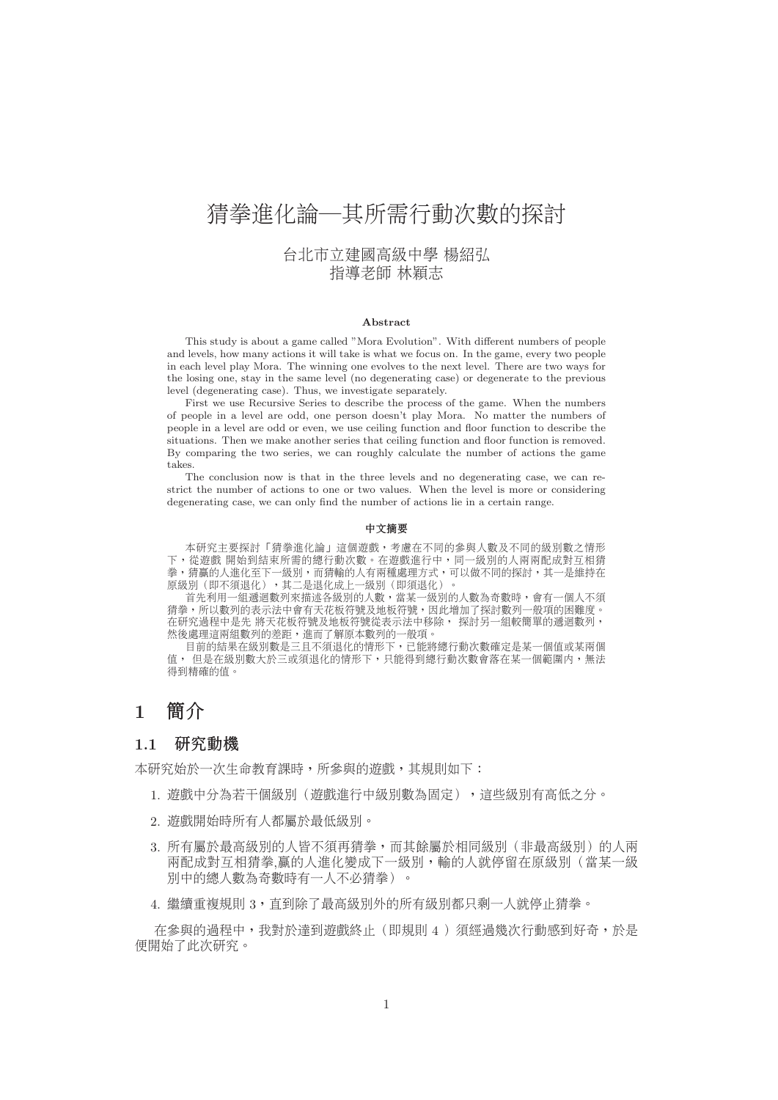# 猜拳進化論─其所需行動次數的探討

# 台北市立建國高級中學 楊紹弘 指導老師 林穎志

#### **Abstract**

This study is about a game called "Mora Evolution". With different numbers of people and levels, how many actions it will take is what we focus on. In the game, every two people in each level play Mora. The winning one evolves to the next level. There are two ways for the losing one, stay in the same level (no degenerating case) or degenerate to the previous level (degenerating case). Thus, we investigate separately.

First we use Recursive Series to describe the process of the game. When the numbers of people in a level are odd, one person doesn't play Mora. No matter the numbers of people in a level are odd or even, we use ceiling function and floor function to describe the situations. Then we make another series that ceiling function and floor function is removed. By comparing the two series, we can roughly calculate the number of actions the game takes.

The conclusion now is that in the three levels and no degenerating case, we can restrict the number of actions to one or two values. When the level is more or considering degenerating case, we can only find the number of actions lie in a certain range.

#### 中文摘要

本研究主要探討「猜拳進化論」這個遊戲,考慮在不同的參與人數及不同的級別數之情形 下,從遊戲 開始到結束所需的總行動次數。在遊戲進行中,同一級別的人兩兩配成對互相猜 拳,猜贏的人進化至下一級別,而猜輸的人有兩種處理方式,可以做不同的探討,其一是維持在 原級別(即不須退化),其二是退化成上一級別(即須退化)。

首先利用一組遞迴數列來描述各級別的人數,當某一級別的人數為奇數時,會有一個人不須 猜拳,所以數列的表示法中會有天花板符號及地板符號,因此增加了探討數列一般項的困難度。 在研究過程中是先 將天花板符號及地板符號從表示法中移除, 探討另一組較簡單的遞迴數列, 然後處理這兩組數列的差距,進而了解原本數列的一般項。

目前的結果在級別數是三且不須退化的情形下,已能將總行動次數確定是某一個值或某兩個 值, 但是在級別數大於三或須退化的情形下,只能得到總行動次數會落在某一個範圍内,無法 得到精確的值。

# **1** 簡介

## **1.1** 研究動機

本研究始於一次生命教育課時,所參與的遊戲,其規則如下:

- 1. 遊戲中分為若干個級別(遊戲進行中級別數為固定),這些級別有高低之分。
- 2. <sup>遊</sup>戲開始時所有人都屬於最低級別。
- 3. 所有屬於最高級別的人皆不須再猜拳,而其餘屬於相同級別(非最高級別)的人兩 兩配成對互相猜拳,贏的人進化變成下一級別,輸的人就停留在原級別(當某一級 別中的總人數為奇數時有一人不必猜拳)。
- 4. 繼續重複規<sup>則</sup> 3,直到除了最高級別外的所有級別都只剩一人就停止猜拳。

在參與的過程中,我對於達到遊戲終止(即規則 4)須經過幾次行動感到好奇,於是 便開始了此次研究。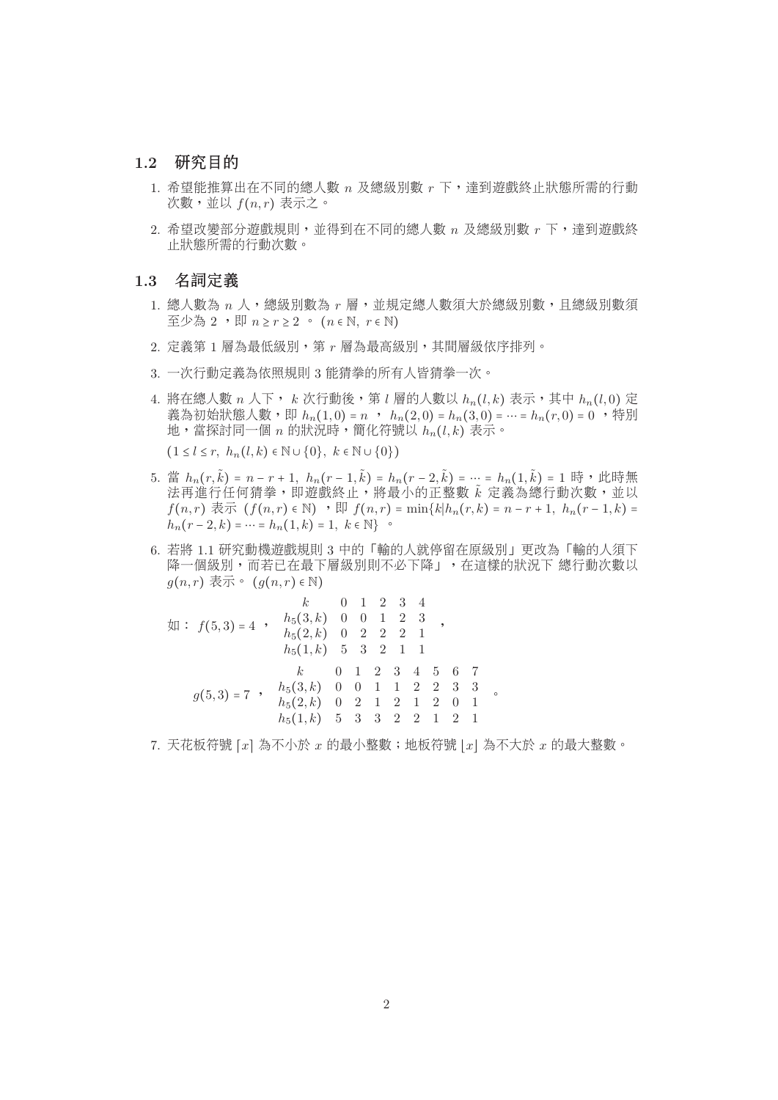## **1.2** 研究目的

- 1. <sup>希</sup>望能推算出在不同的總人<sup>數</sup> n <sup>及</sup>總級別<sup>數</sup> r <sup>下</sup>,達到遊戲終止狀態所需的行<sup>動</sup> 次數,並以 $f(n,r)$ 表示之。
- $2.$  希望改變部分遊戲規則,並得到在不同的總人數  $n$  及總級別數  $r$  下,達到遊戲終 止狀態所需的行動次數。

## **1.3** 名詞定義

- 1. 總人數為  $n \wedge n$ , 總級別數為  $r$  層, 並規定總人數須大於總級別數, 且總級別數須 至少為 2 , 即  $n \geq r \geq 2$  ,  $(n \in \mathbb{N}, r \in \mathbb{N})$
- 2. 定義第 1 層為最低級別, 第 r 層為最高級別, 其間層級依序排列。
- 3. <sup>一</sup>次行動定義為依照規<sup>則</sup> 3 <sup>能</sup>猜拳的所有人皆猜拳一次。
- 4. 將在總人數  $n \wedge \top$ ,  $k \wedge n$ 行動後, 第  $l$  層的人數以  $h_n(l,k)$  表示, 其中  $h_n(l,0)$  定 義為初始狀態人數,即  $h_n(1,0) = n$ ,  $h_n(2,0) = h_n(3,0) = \cdots = h_n(r,0) = 0$ , 特別 地,當探討同一個  $n$  的狀況時,簡化符號以  $h_n(l,k)$  表示。  $(1 \leq l \leq r, h_n(l, k) \in \mathbb{N} \cup \{0\}, k \in \mathbb{N} \cup \{0\})$
- 5. 當  $h_n(r, \tilde{k}) = n r + 1$ ,  $h_n(r 1, \tilde{k}) = h_n(r 2, \tilde{k}) = \cdots = h_n(1, \tilde{k}) = 1$  時,此時無<br>注重准行任何猎巻,即游戲纹正,將晶小的正敕數  $\tilde{\iota}$  完義為總行動次數,並以 <sup>k</sup>) = <sup>n</sup> <sup>−</sup> <sup>r</sup> <sup>+</sup> <sup>1</sup>, hn(<sup>r</sup> <sup>−</sup> <sup>1</sup>, ˜ <sup>k</sup>) = <sup>h</sup>n(<sup>r</sup> <sup>−</sup> <sup>2</sup>, ˜ <sup>k</sup>)=⋯= <sup>h</sup>n(1, ˜ <sup>法</sup>再進行任何猜拳,即遊戲終止,將最小的正整數 ˜ k <sup>定</sup>義為總行動次數,並以 f(n, r) 表示 (f(n, r) ∈ N) , 即 f(n, r) = min{k|h<sub>n</sub>(r, k) = n − r + 1, h<sub>n</sub>(r − 1, k) =  $h_n(r-2, k) = \dots = h_n(1, k) = 1, k \in \mathbb{N}$  °
- 6. <sup>若</sup><sup>將</sup> 1.1 <sup>研</sup>究動機遊戲規<sup>則</sup> 3 <sup>中</sup>的「輸的人就停留在原級別」更改為「輸的人須<sup>下</sup> 降一個級別,而若已在最下層級別則不必下降」, 在這樣的狀況下 總行動次數以  $q(n,r) \nexists \overrightarrow{\pi} \circ (q(n,r) \in \mathbb{N})$

$$
k = 0 \quad 1 \quad 2 \quad 3 \quad 4
$$
  
\n
$$
\text{Im } f(5,3) = 4 \rightarrow \begin{array}{cccccc} & k & 0 & 1 & 2 & 3 & 4 \\ & h_5(3,k) & 0 & 0 & 1 & 2 & 3 \\ & h_5(2,k) & 0 & 2 & 2 & 2 & 1 \\ & h_5(1,k) & 5 & 3 & 2 & 1 & 1 \end{array}
$$
  
\n
$$
g(5,3) = 7 \rightarrow \begin{array}{cccccc} & h_5(3,k) & 0 & 0 & 1 & 1 & 2 & 2 & 3 & 3 \\ & h_5(2,k) & 0 & 0 & 1 & 1 & 2 & 2 & 3 & 3 \\ & h_5(2,k) & 0 & 2 & 1 & 2 & 1 & 2 & 0 & 1 \\ & h_5(1,k) & 5 & 3 & 3 & 2 & 2 & 1 & 2 & 1 \end{array}
$$

7. 天花板符號 [ $x$ ] 為不小於  $x$  的最小整數; 地板符號  $|x|$  為不大於  $x$  的最大整數。

 $\circ$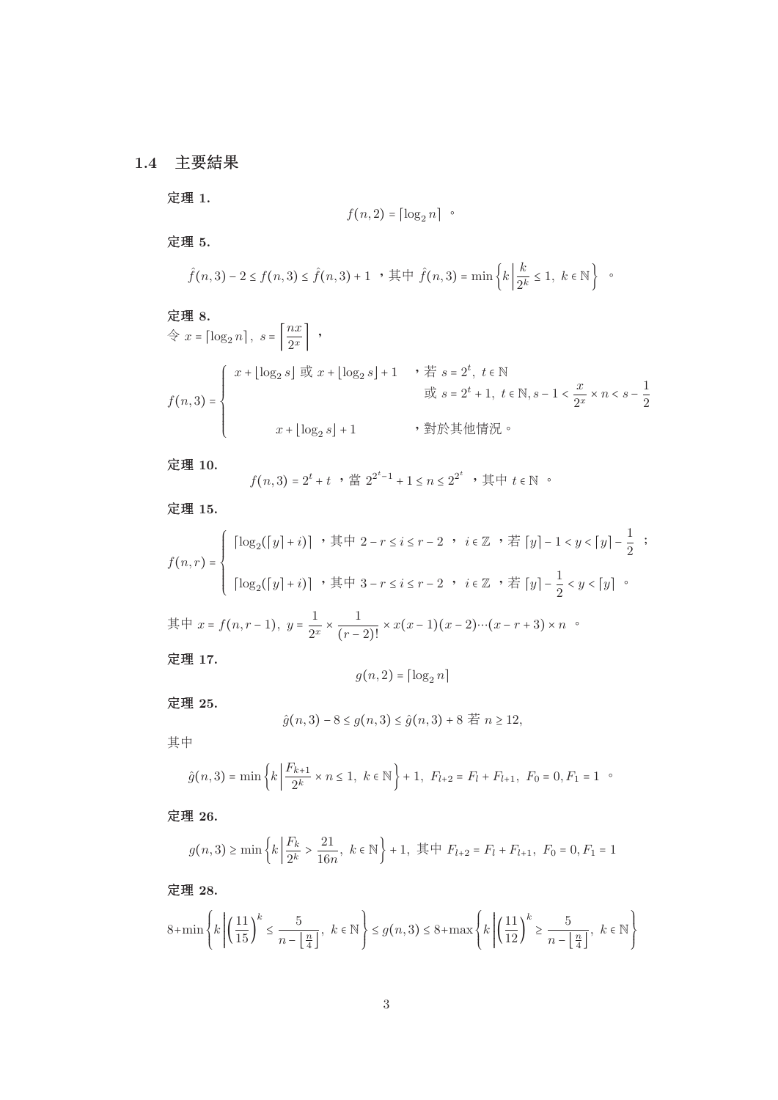# **1.4** 主要結果

定理 **1.**

$$
f(n,2) = \lceil \log_2 n \rceil
$$

定理 **5.**

$$
\hat{f}(n,3) - 2 \le f(n,3) \le \hat{f}(n,3) + 1
$$
,  $\sharp \uparrow \hat{f}(n,3) = \min \left\{ k \middle| \frac{k}{2^k} \le 1, k \in \mathbb{N} \right\}$ .

$$
\begin{aligned}\n\mathbf{\mathcal{E}} \mathbf{\mathcal{H}} \mathbf{8.} \\
&\Leftrightarrow x = \begin{bmatrix} \log_2 n \\ \log_2 s \end{bmatrix}, s = \begin{bmatrix} \frac{nx}{2^x} \\ \frac{y}{2^x} \end{bmatrix}, \\
f(n,3) = \begin{cases}\nx + \lfloor \log_2 s \rfloor & \text{if } x + \lfloor \log_2 s \rfloor + 1, & \text{if } s = 2^t, t \in \mathbb{N} \\
& \text{if } s = 2^t + 1, t \in \mathbb{N}, s - 1 < \frac{x}{2^x} \times n < s - \frac{1}{2} \\
& \text{if } x + \lfloor \log_2 s \rfloor + 1, & \text{if } x + \lfloor \log_2 s \rfloor + 1.\n\end{cases}\n\end{aligned}
$$

定理 **10.**

$$
f(n,3) = 2^t + t
$$
 ,  $\sharp \sharp 2^{2^t-1} + 1 \le n \le 2^{2^t}$  ,  $\sharp \sharp \vdash t \in \mathbb{N}$ 

定理 **15.**

$$
f(n,r) = \begin{cases} \left[ \log_2([y]+i) \right] \cdot \# \psi \cdot 2 - r \leq i \leq r-2 \cdot i \in \mathbb{Z} \cdot \# [y] - 1 < y < [y] - \frac{1}{2} ; \\ \left[ \log_2([y]+i) \right] \cdot \# \psi \cdot 3 - r \leq i \leq r-2 \cdot i \in \mathbb{Z} \cdot \# [y] - \frac{1}{2} < y < [y] \end{cases}
$$

$$
-\n 2\pi + x = f(n, r-1), \quad\n y = \frac{1}{2^x} \times \frac{1}{(r-2)!} \times x(x-1)(x-2)\cdots(x-r+3) \times n \quad
$$

定理 **17.**

$$
g(n,2) = \lceil \log_2 n \rceil
$$

定理 **25.**

$$
\hat{g}(n,3) - 8 \le g(n,3) \le \hat{g}(n,3) + 8 \quad \text{if } n \ge 12,
$$

其中

$$
\hat{g}(n,3) = \min\left\{k \mid \frac{F_{k+1}}{2^k} \times n \le 1, \ k \in \mathbb{N}\right\} + 1, \ F_{l+2} = F_l + F_{l+1}, \ F_0 = 0, F_1 = 1 \ \ \text{or} \ \ \hat{g}(n,3) = \min\left\{k \mid \frac{F_{k+1}}{2^k} \times n \le 1, \ k \in \mathbb{N}\right\} + 1, \ F_{l+2} = F_l + F_{l+1}, \ F_0 = 0, F_1 = 1 \ \ \text{or} \ \ \hat{g}(n,3) = \min\left\{k \mid \frac{F_{k+1}}{2^k} \times n \le 1, \ k \in \mathbb{N}\right\} + 1, \ F_{l+3} = F_l + F_{l+1}, \ F_0 = 0, F_1 = 1 \ \ \text{or} \ \ \hat{g}(n,3) = \min\left\{k \mid \frac{F_{k+1}}{2^k} \times n \le 1, \ k \in \mathbb{N}\right\} + 1, \ F_{l+4} = F_l + F_{l+1}, \ F_0 = 0, F_1 = 1 \ \ \text{or} \ \ \hat{g}(n,3) = \min\left\{k \mid \frac{F_{k+1}}{2^k} \times n \le 1, \ k \in \mathbb{N}\right\} + 1, \ F_{l+5} = F_l + F_{l+1}, \ F_0 = 0, F_1 = 1 \ \ \text{or} \ \ \hat{g}(n,3) = \min\left\{k \mid \frac{F_{k+1}}{2^k} \times n \le 1, \ k \in \mathbb{N}\right\} + 1, \ F_{l+6} = F_l + F_{l+1}, \ F_0 = 0, F_1 = 1 \ \ \text{or} \ \ \hat{g}(n,3) = \min\left\{k \mid \frac{F_{k+1}}{2^k} \times n \le 1, \ k \in \mathbb{N}\right\} + 1, \ F_{l+7} = F_l + F_{l+1}, \ F_0 = 0, F_1 = 1 \ \ \text{or} \ \ \hat{g}(n,3) = \min\left\{k \mid \frac{F_{k+1}}{2^k} \times n \le 1, \ k \in \mathbb{N}\right\} + 1, \ F_0 = 0, F_1 = 0, F
$$

定理 **26.**

$$
g(n, 3) \ge \min \left\{ k \left| \frac{F_k}{2^k} > \frac{21}{16n}, \ k \in \mathbb{N} \right\} + 1, \ \ \nexists \forall \ F_{l+2} = F_l + F_{l+1}, \ F_0 = 0, F_1 = 1 \right\}
$$

定理 **28.**

$$
8+\min\left\{k\left|\left(\frac{11}{15}\right)^k\leq \frac{5}{n-\left\lfloor\frac{n}{4}\right\rfloor},\ k\in\mathbb{N}\right.\right\}\leq g(n,3)\leq 8+\max\left\{k\left|\left(\frac{11}{12}\right)^k\geq \frac{5}{n-\left\lfloor\frac{n}{4}\right\rfloor},\ k\in\mathbb{N}\right.\right\}
$$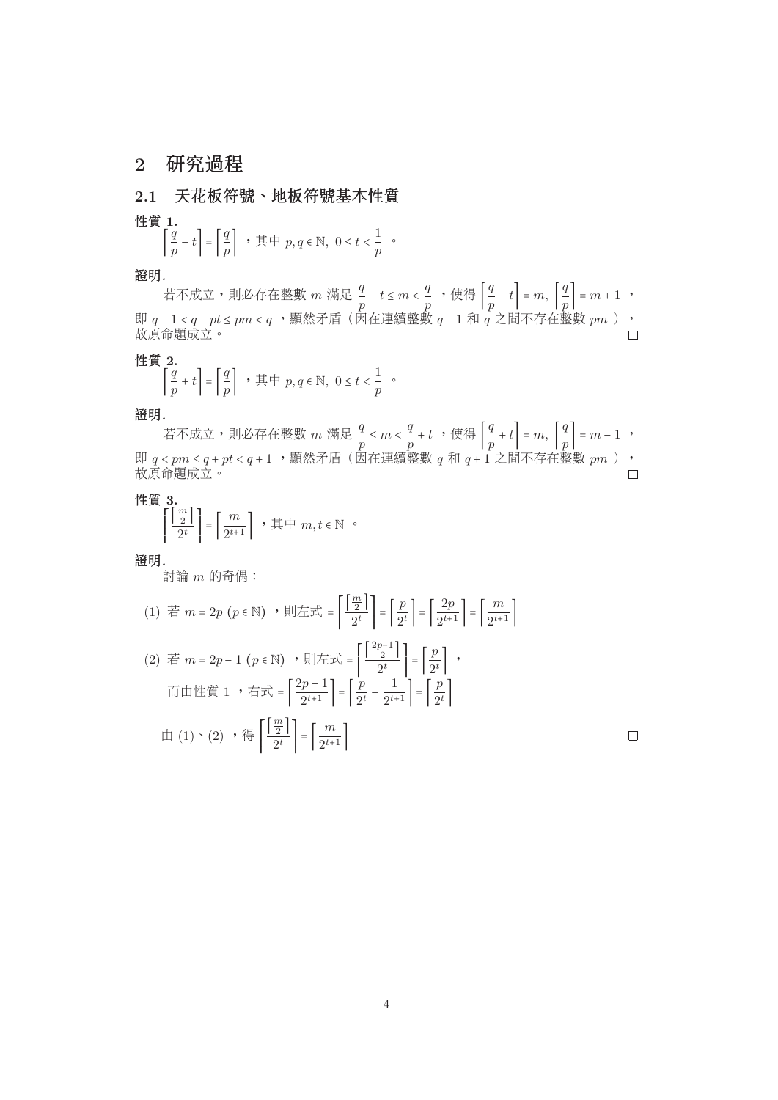# **2** 研究過程

**2.1** 天花板符號、地板符號基本性質

性質 **1.**

$$
\left\lceil \frac{q}{p} - t \right\rceil = \left\lceil \frac{q}{p} \right\rceil \quad , \n\equiv \pm p, q \in \mathbb{N}, \ 0 \le t < \frac{1}{p} \quad \text{or} \quad
$$

證明*.*

<sup>若</sup>不成立,則必存在整數 m <sup>滿</sup><sup>足</sup> <sup>q</sup> p <sup>−</sup> <sup>t</sup> <sup>≤</sup> <sup>m</sup> <sup>&</sup>lt; <sup>q</sup> p ,使<sup>得</sup> ⌈ q p <sup>−</sup> <sup>t</sup>⌉ = m, ⌈ q  $\begin{array}{c} \frac{q}{p} \\ \frac{p}{p} \end{array} = m + 1$ , 即 q − 1 < q − pt ≤ pm < q ,顯然矛盾(因在連續整數 q − 1 和 q 之間不存在整數 pm ),<br>故原命題成立。 故原命題成立。

性質 **2.**

$$
\left\lceil \frac{q}{p} + t \right\rceil = \left\lceil \frac{q}{p} \right\rceil \quad , \n\equiv \pm p, q \in \mathbb{N}, \ 0 \le t < \frac{1}{p} \quad \text{or} \quad
$$

證明*.*

若不成立,則必存在整數 m 滿足  $\frac{q}{p} \leq m < \frac{q}{p} + t$  ,使得  $\left\lfloor \frac{q}{p} \right\rfloor$ <br>c nm < a + nt < a + 1 ,顯然矛盾(因在連續整數 a 和 a + 1  $\begin{bmatrix} \frac{\mathbb{1}}{p} + t \ p \end{bmatrix} = m, \ \begin{bmatrix} \frac{\mathbb{1}}{p} \ \frac{\mathbb{1}}{p} \end{bmatrix}$  $\left[\begin{array}{c} \frac{q}{p} \\ \frac{1}{p} \end{array}\right] = m - 1$ , 即 q < pm ≤ q + pt < q + 1 ,顯然矛盾(因在連續整數 q 和 q + 1 之間不存在整數 pm ),<br>故原命題成立。

性質 **3.**

$$
\left\lceil \frac{\left\lfloor \frac{m}{2} \right\rfloor}{2^t} \right\rceil = \left\lceil \frac{m}{2^{t+1}} \right\rceil , \quad \text{if } \forall m, t \in \mathbb{N} \circ
$$

證明*.*

討論 m <sup>的</sup>奇偶:

$$
(1) \quad \stackrel{\text{# }}{=} m = 2p \left( p \in \mathbb{N} \right) \quad \text{# } \left| \frac{1}{2} \pm \frac{1}{2} \right| = \left| \frac{p}{2^t} \right| = \left| \frac{2p}{2^{t+1}} \right| = \left| \frac{m}{2^{t+1}} \right|
$$
\n
$$
(2) \quad \stackrel{\text{# }}{=} m = 2p - 1 \left( p \in \mathbb{N} \right) \quad \text{# } \left| \pm \pm \frac{1}{2^t} \right| = \left| \frac{2p - 1}{2^t} \right| = \left| \frac{p}{2^t} \right| \quad \text{# } \left| \frac{p}{2^t} \right| = \left| \frac{p}{2^t} \right| \quad \text{# } \left| \frac{p}{2^t} \right| = \left| \frac{2p - 1}{2^{t+1}} \right| = \left| \frac{p}{2^t} \right| \quad \text{# } \left| \frac{p}{2^t} \right| = \left| \frac{m}{2^t} \right| = \left| \frac{m}{2^{t+1}} \right|
$$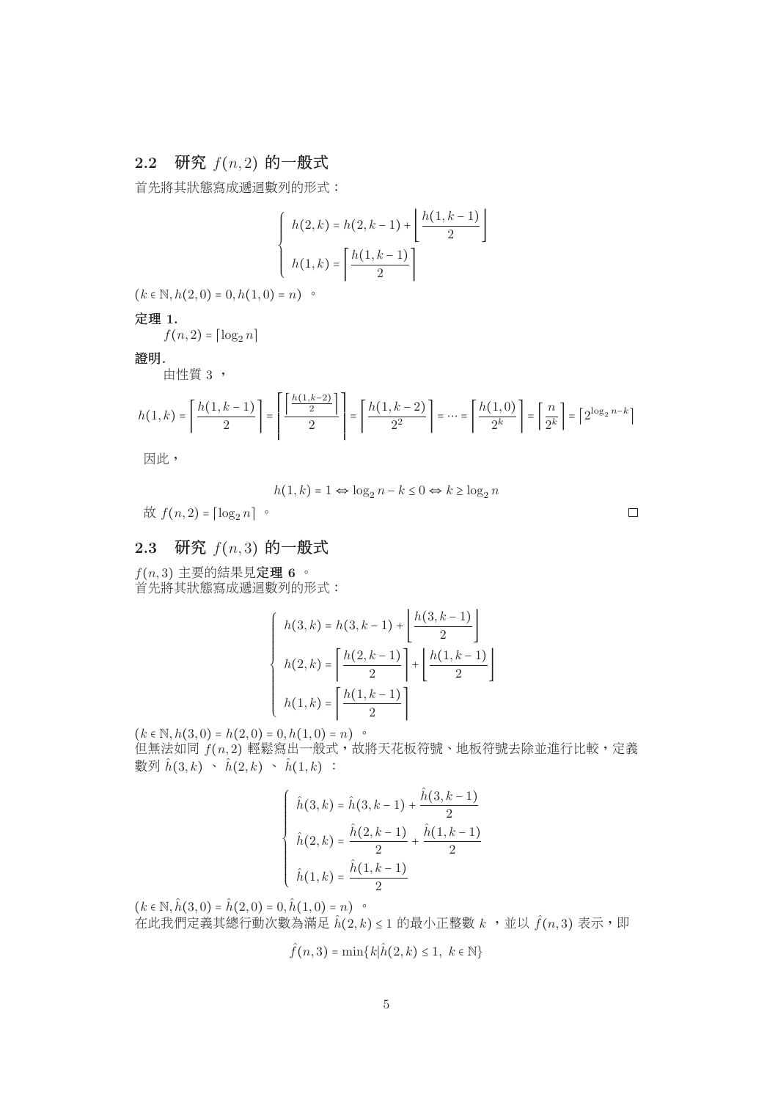# $2.2$  研究  $f(n, 2)$  的一般式

首先將其狀態寫成遞迴數列的形式:

$$
\begin{cases}\nh(2,k) = h(2,k-1) + \left\lfloor \frac{h(1,k-1)}{2} \right\rfloor \\
h(1,k) = \left\lceil \frac{h(1,k-1)}{2} \right\rceil\n\end{cases}
$$

 $(k \in \mathbb{N}, h(2, 0) = 0, h(1, 0) = n)$ 

定理 **1.**

 $f(n, 2) = \lfloor \log_2 n \rfloor$ 

證明*.*

<sup>由</sup>性<sup>質</sup> 3 ,

$$
h(1,k) = \left\lceil \frac{h(1,k-1)}{2} \right\rceil = \left\lceil \frac{\left\lceil \frac{h(1,k-2)}{2} \right\rceil}{2} \right\rceil = \left\lceil \frac{h(1,k-2)}{2^2} \right\rceil = \dots = \left\lceil \frac{h(1,0)}{2^k} \right\rceil = \left\lceil \frac{n}{2^k} \right\rceil = \left\lceil 2^{\log_2 n - k} \right\rceil
$$

因此,

$$
h(1,k) = 1 \Leftrightarrow \log_2 n - k \le 0 \Leftrightarrow k \ge \log_2 n
$$

故  $f(n, 2) = \lceil \log_2 n \rceil$ 。

 $\Box$ 

# $2.3$  研究  $f(n, 3)$  的一般式

f(n, 3) <sup>主</sup>要的結果見定<sup>理</sup> **<sup>6</sup>** 。 首先將其狀態寫成遞迴數列的形式:

$$
\begin{cases}\n h(3,k) = h(3,k-1) + \left\lfloor \frac{h(3,k-1)}{2} \right\rfloor \\
 h(2,k) = \left\lceil \frac{h(2,k-1)}{2} \right\rceil + \left\lfloor \frac{h(1,k-1)}{2} \right\rfloor \\
 h(1,k) = \left\lceil \frac{h(1,k-1)}{2} \right\rceil\n\end{cases}
$$

 $(k \in \mathbb{N}, h(3,0) = h(2,0) = 0, h(1,0) = n)$  。 但無法如同  $f(n, 2)$  輕鬆寫出一般式,故將天花板符號、地板符號去除並進行比較,定義 數列  $\hat{h}(3, k) \sim \hat{h}(2, k) \sim \hat{h}(1, k)$ :

$$
\begin{cases} \hat{h}(3,k) = \hat{h}(3,k-1) + \frac{\hat{h}(3,k-1)}{2} \\ \hat{h}(2,k) = \frac{\hat{h}(2,k-1)}{2} + \frac{\hat{h}(1,k-1)}{2} \\ \hat{h}(1,k) = \frac{\hat{h}(1,k-1)}{2} \end{cases}
$$

 $(k \in \mathbb{N}, \hat{h}(3,0) = \hat{h}(2,0) = 0, \hat{h}(1,0) = n)$  $\hat{A}$ 在此我們定義其總行動次數為滿足  $\hat{h}(2, k) \leq 1$  的最小正整數  $k$ , 並以  $\hat{f}(n, 3)$  表示, 即

$$
\hat{f}(n,3) = \min\{k|\hat{h}(2,k) \le 1, \ k \in \mathbb{N}\}\
$$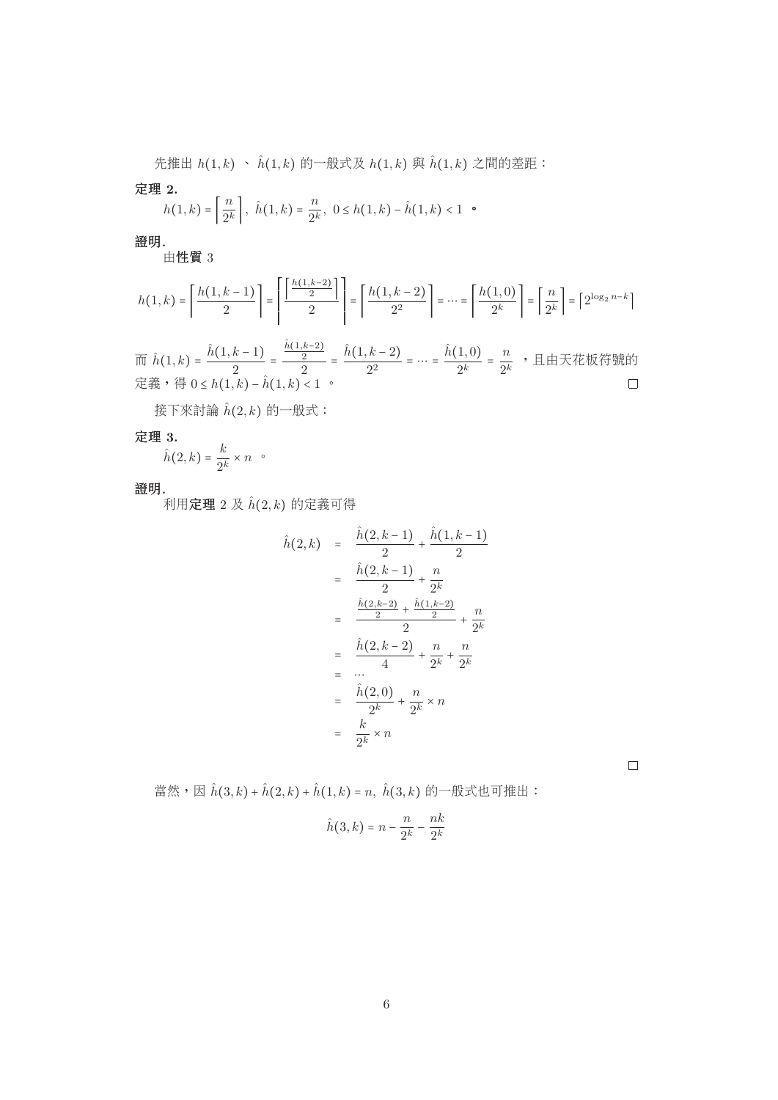先推出  $h(1, k) \sim \hat{h}(1, k)$  的一般式及  $h(1, k)$  與  $\hat{h}(1, k)$  之間的差距:

定理 **2.**

$$
h(1,k) = \left\lceil \frac{n}{2^k} \right\rceil, \ \hat{h}(1,k) = \frac{n}{2^k}, \ 0 \le h(1,k) - \hat{h}(1,k) < 1 \quad \circ
$$

證明*.*

<sup>由</sup>性<sup>質</sup> 3

$$
h(1,k) = \left\lceil \frac{h(1,k-1)}{2} \right\rceil = \left\lceil \frac{\left\lceil \frac{h(1,k-2)}{2} \right\rceil}{2} \right\rceil = \left\lceil \frac{h(1,k-2)}{2^2} \right\rceil = \dots = \left\lceil \frac{h(1,0)}{2^k} \right\rceil = \left\lceil \frac{n}{2^k} \right\rceil = \left\lceil 2^{\log_2 n - k} \right\rceil
$$

而  $\hat{h}(1,k) = \frac{h(1,k-1)}{2} =$ <br>定義,得  $0 \le h(1,k) - \hat{h}(1)$  $\frac{h(1,k-2)}{2}$  $\frac{\frac{2}{2}}{2}$  =  $\frac{h(1,k-2)}{2^2}$  = … =  $\frac{h(1,0)}{2^k}$  =  $\frac{n}{2^k}$  ,且由天花板符號的 定義,得 0 ≤ h(1, k) − h(1, k) < 1 。

接下來討論 $\hat{h}(2, k)$ 的一般式:

定理 **3.**

 $\hat{h}(2,k) = \frac{\kappa}{2^k} \times n$  .

證明*.*

, .<br>利用**定理** 2 及  $\hat{h}(2, k)$  的定義可得

$$
\hat{h}(2,k) = \frac{\hat{h}(2,k-1)}{2} + \frac{\hat{h}(1,k-1)}{2}
$$
\n
$$
= \frac{\hat{h}(2,k-1)}{2} + \frac{n}{2^k}
$$
\n
$$
= \frac{\frac{\hat{h}(2,k-2)}{2} + \frac{\hat{h}(1,k-2)}{2}}{2} + \frac{n}{2^k}
$$
\n
$$
= \frac{\hat{h}(2,k-2)}{4} + \frac{n}{2^k} + \frac{n}{2^k}
$$
\n
$$
= \frac{\hat{h}(2,0)}{2^k} + \frac{n}{2^k} \times n
$$
\n
$$
= \frac{k}{2^k} \times n
$$

 $\Box$ 

當然,因 $\hat{h}(3, k) + \hat{h}(2, k) + \hat{h}(1, k) = n$ ,  $\hat{h}(3, k)$ 的一般式也可推出:

$$
\hat{h}(3,k) = n - \frac{n}{2^k} - \frac{nk}{2^k}
$$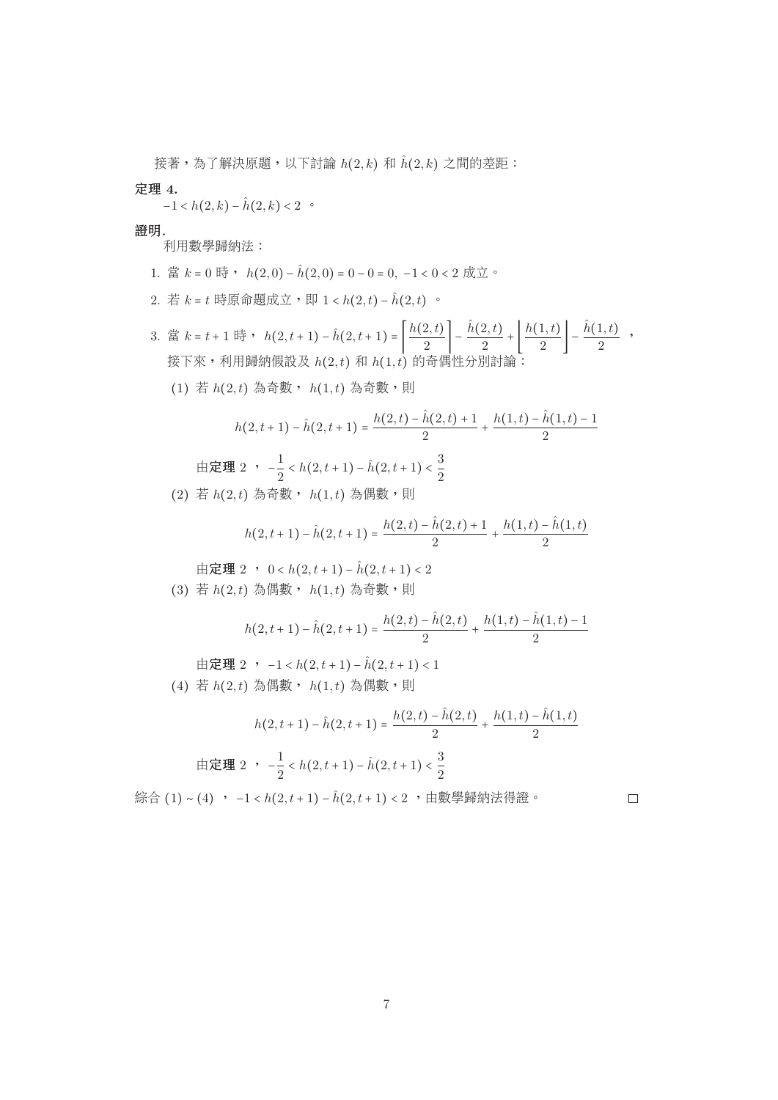接著,為了解決原題,以下討論  $h(2, k)$  和  $\hat{h}(2, k)$  之間的差距:

定理 **4.**

 $-1 < h(2, k) - \hat{h}(2, k) < 2$ 

證明*.*

利用數學歸納法:

- 1. 當  $k = 0$  時,  $h(2,0) \hat{h}(2,0) = 0 0 = 0, -1 < 0 < 2$  成立。
- 2. 若  $k = t$  時原命題成立,即 1 < h(2, t) h(2, t) 。
- 3. 當 k = t + 1 時 , h(2, t + 1) − h(2, t + 1) =  $\left| \frac{h(2,t)}{2} \right| \frac{h(2,t)}{2} + \left[ \frac{h(1,t)}{2} \right] \frac{h(1,t)}{2}$ , 接下來,利用歸納假設及 $h(2,t)$ 和 $h(1,t)$ 的奇偶性分別討論:
	- $(1)$  若  $h(2,t)$  為奇數,  $h(1,t)$  為奇數, 則

$$
h(2, t+1) - \hat{h}(2, t+1) = \frac{h(2, t) - \hat{h}(2, t) + 1}{2} + \frac{h(1, t) - \hat{h}(1, t) - 1}{2}
$$
  
in  $\mathbb{E}[\mathbb{H} \ 2 \ \cdot \ -\frac{1}{2} < h(2, t+1) - \hat{h}(2, t+1) < \frac{3}{2}]$ 

(2) 若  $h(2,t)$  為奇數,  $h(1,t)$  為偶數,則

$$
h(2,t+1) - \hat{h}(2,t+1) = \frac{h(2,t) - \hat{h}(2,t) + 1}{2} + \frac{h(1,t) - \hat{h}(1,t)}{2}
$$

由定理 2 ,  $0 < h(2, t+1) - \hat{h}(2, t+1) < 2$ (3) 若  $h(2,t)$  為偶數,  $h(1,t)$  為奇數, 則

$$
h(2, t+1) - \hat{h}(2, t+1) = \frac{h(2, t) - \hat{h}(2, t)}{2} + \frac{h(1, t) - \hat{h}(1, t) - 1}{2}
$$

由定理 2 ,  $-1 < h(2, t+1) - \hat{h}(2, t+1) < 1$  $(4)$  若  $h(2,t)$  為偶數,  $h(1,t)$  為偶數, 則

$$
h(2, t+1) - \hat{h}(2, t+1) = \frac{h(2, t) - h(2, t)}{2} + \frac{h(1, t) - h(1, t)}{2}
$$
  
in  $\mathbb{E}[\mathbb{H}(2, t+1) - \hat{h}(2, t+1) < \frac{3}{2}]$ 

綜合 (1)∼(4) , −1 < h(2, t + 1) − ĥ(2, t + 1) < 2 ,由數學歸納法得證。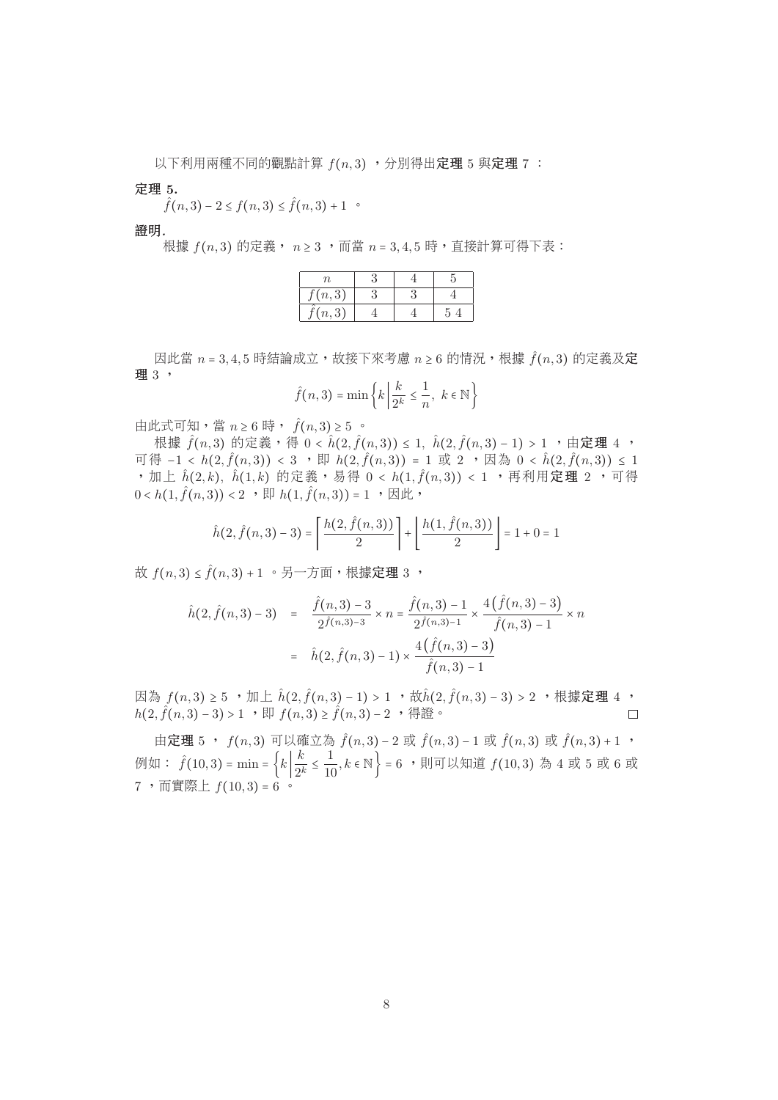以下利用兩種不同的觀點計算 $f(n, 3)$ ,分別得出定理 5 與定理 7:

定理 **5.**

 $\hat{f}(n,3) - 2 \le f(n,3) \le \hat{f}(n,3) + 1$ 

證明*.*

根據  $f(n, 3)$  的定義,  $n ≥ 3$ , 而當  $n = 3, 4, 5$  時, 直接計算可得下表:

| (n,3)<br>(n,3) | Ίl |  |  |
|----------------|----|--|--|
|                |    |  |  |
|                |    |  |  |

 $\mathbb{E}$  因此當 n = 3,4,5 時結論成立,故接下來考慮 n ≥ 6 的情況,根據  $\hat{f}(n,3)$  的定義及定 理 3,

$$
\hat{f}(n,3) = \min\left\{k \mid \frac{k}{2^k} \leq \frac{1}{n}, \ k \in \mathbb{N}\right\}
$$

由此式可知,當  $n \geq 6$  時,  $\hat{f}(n,3) \geq 5$  。

根據  $\hat{f}(n,3)$  的定義,得 0 <  $\hat{h}(2,\hat{f}(n,3))$  ≤ 1,  $\hat{h}(2,\hat{f}(n,3) - 1)$  > 1, 由定理 4, 可得 −1 < h(2, $\hat{f}(n,3)$ ) < 3 , 即 h(2, $\hat{f}(n,3)$ ) = 1 或 2 , 因為 0 < h(2, $\hat{f}(n,3)$ ) ≤ 1 ,加上  $\hat{h}(2, k)$ ,  $\hat{h}(1, k)$  的定義,易得  $0 < h(1, \hat{f}(n, 3)) < 1$  ,再利用定理 2 ,可得  $0 < h(1, \hat{f}(n, 3)) < 2$ ,  $\overline{\mathbb{E}}$   $h(1, \hat{f}(n, 3)) = 1$ ,  $\overline{\mathbb{E}}$   $\overline{\mathbb{E}}$ ,

$$
\hat{h}(2,\hat{f}(n,3)-3) = \left\lceil \frac{h(2,\hat{f}(n,3))}{2} \right\rceil + \left\lfloor \frac{h(1,\hat{f}(n,3))}{2} \right\rfloor = 1 + 0 = 1
$$

故  $f(n, 3) \leq \hat{f}(n, 3) + 1$  。另一方面,根據定理 3,

$$
\hat{h}(2, \hat{f}(n,3) - 3) = \frac{\hat{f}(n,3) - 3}{2\hat{f}(n,3) - 3} \times n = \frac{\hat{f}(n,3) - 1}{2\hat{f}(n,3) - 1} \times \frac{4(\hat{f}(n,3) - 3)}{\hat{f}(n,3) - 1} \times n
$$

$$
= \hat{h}(2, \hat{f}(n,3) - 1) \times \frac{4(\hat{f}(n,3) - 3)}{\hat{f}(n,3) - 1}
$$

因為  $f(n, 3) \ge 5$  , 加上  $\hat{h}(2, \hat{f}(n, 3) - 1) > 1$  , 故 $\hat{h}(2, \hat{f}(n, 3) - 3) > 2$  , 根據定理 4 ,  $h(2, \hat{f}(n, 3) - 3) > 1$  , 即  $f(n, 3) \ge \hat{f}(n, 3) - 2$  , 得證 。  $h(2, \hat{f}(n,3) - 3) > 1$ , 即  $f(n, 3) \geq \hat{f}(n, 3) - 2$ , 得證。

由定理 5 ,  $f(n, 3)$  可以確立為  $\hat{f}(n, 3) - 2$  或  $\hat{f}(n, 3) - 1$  或  $\hat{f}(n, 3)$  或  $\hat{f}(n, 3) + 1$  , 例如:  $\hat{f}(10,3) = \min = \left\{k \left| \frac{\kappa}{2^k} \leq \frac{1}{10}, k \in \mathbb{N} \right.\right\} = 6$  ,則可以知道  $f(10,3)$  為 4 或 5 或 6 或<br>7 ,而實際上  $f(10,3) = 6$  。  $7 \cdot \overline{\text{mg}}$  (  $f(10, 3) = 6$  。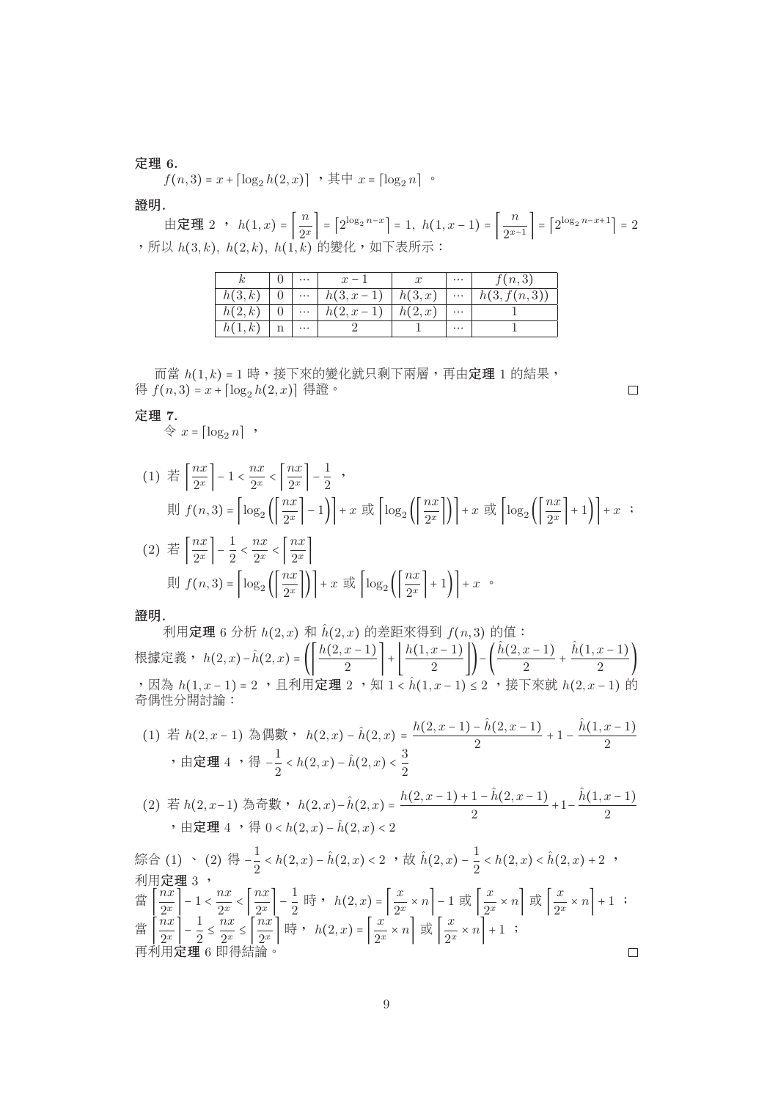### 定理 **6.**

 $f(n, 3) = x + \lceil \log_2 h(2, x) \rceil$ ,  $\# \# x = \lceil \log_2 n \rceil$ .

### 證明*.*

由定理 2 ,  $h(1,x) = \left| \frac{n}{2^x} \right| = \left[ 2^{\log_2 n - x} \right] = 1, h(1,x-1) = \left| \frac{n}{2^{x-1}} \right| = \left[ 2^{\log_2 n - x+1} \right] = 2$ <br>以  $h(3,k)$ ,  $h(2,k)$ ,  $h(1,k)$  的變化 , 如下表所示 : , 所以  $h(3, k)$ ,  $h(2, k)$ ,  $h(1, k)$  的變化, 如下表所示:

| $\boxed{0}$      $h(3, x-1)$   $h(3, x)$      $h(3, f(n, 3))$<br>$0 \mid \dots \mid h(2, x-1) \mid h(2, x)$<br>h(2,k)<br>$\cdots$<br>h(1,k)<br>$\cdots$<br>$\cdots$ |        | $\mathbf{r}$ , $\mathbf{r}$ , $\mathbf{r}$ , $\mathbf{r}$ | $x-1$ | $\cdots$ | f(n,3) |
|---------------------------------------------------------------------------------------------------------------------------------------------------------------------|--------|-----------------------------------------------------------|-------|----------|--------|
|                                                                                                                                                                     | h(3,k) |                                                           |       |          |        |
|                                                                                                                                                                     |        |                                                           |       |          |        |
|                                                                                                                                                                     |        |                                                           |       |          |        |

 $\Box$ 

而當  $h(1, k) = 1$ 時,接下來的變化就只剩下兩層,再由定理 1 的結果, 得  $f(n, 3) = x + \left[\log_2 h(2, x)\right]$  得證。

## 定理 **7.**

 $\Leftrightarrow$   $x = \lceil \log_2 n \rceil$  ,

$$
(1) \quad \stackrel{\text{def}}{=} \left[ \frac{nx}{2^x} \right] - 1 < \frac{nx}{2^x} < \left[ \frac{nx}{2^x} \right] - \frac{1}{2} \quad ,
$$
\n
$$
\text{if } f(n,3) = \left[ \log_2 \left( \left[ \frac{nx}{2^x} \right] - 1 \right) \right] + x \quad \text{if } \left[ \log_2 \left( \left[ \frac{nx}{2^x} \right] \right) \right] + x \quad \text{if } \left[ \log_2 \left( \left[ \frac{nx}{2^x} \right] \right) \right] + x \quad ;
$$
\n
$$
(2) \quad \stackrel{\text{def}}{=} \left[ \frac{nx}{2^x} \right] - \frac{1}{2} < \frac{nx}{2^x} < \left[ \frac{nx}{2^x} \right]
$$
\n
$$
\text{if } f(n,3) = \left[ \log_2 \left( \left[ \frac{nx}{2^x} \right] \right) \right] + x \quad \text{if } \left[ \log_2 \left( \left[ \frac{nx}{2^x} \right] + 1 \right) \right] + x \quad \text{if } \left[ \frac{nx}{2^x} \right] \quad ;
$$

### 證明*.*

利用**定理** 6 分析 h(2, x) 和 h(2, x) 的差距來得到 f(n, 3) 的值: 根據定義, h(2, x)−h(2, x) =  $\left( \left| \frac{h(2, x-1)}{2} \right| + \left[ \frac{h(1, x-1)}{2} \right] \right) - \left( \frac{h(2, x-1)}{2} + \frac{h(1, x-1)}{2} \right)$ ,因為 h(1, x − 1) = 2 ,且利用定理 2 ,知 1 < h(1, x − 1) ≤ 2 , 接下來就 h(2, x − 1) 的 奇偶性分開討論:

(1) <sup>若</sup> h(2, x <sup>−</sup> 1) <sup>為</sup>偶數, h(2, x) − hˆ(2, x) = <sup>h</sup>(2, x <sup>−</sup> <sup>1</sup>) − <sup>h</sup>ˆ(2, x <sup>−</sup> <sup>1</sup>) <sup>+</sup> 1 <sup>−</sup> <sup>h</sup>ˆ(1, x <sup>−</sup> <sup>1</sup>) ,由定<sup>理</sup> 4 ,<sup>得</sup> <sup>−</sup><sup>1</sup> <sup>&</sup>lt; h(2, x) − hˆ(2, x) < <sup>3</sup>

(2) 
$$
\ddot{f}(h(2, x-1))
$$
  $\ddot{f}(h(2, x) - \hat{h}(2, x)) = \frac{h(2, x-1) + 1 - \hat{h}(2, x-1)}{2} + 1 - \frac{\hat{h}(1, x-1)}{2}$ ,   
  $\dot{f}(h(2, x)) = \hat{h}(2, x) - \hat{h}(2, x) < 2$ 

$$
\begin{aligned}\n\text{5}\n\text{6} & \text{(1)} \quad \text{(2)} \quad \left(\frac{3}{7} - \frac{1}{2} < h(2, x) - \hat{h}(2, x) < 2 \right) \\
\text{6} & \text{6} \\
\text{7} & \text{8} \\
\text{8} & \text{8} \\
\text{8} & \text{9} \\
\text{10} & \text{11} \\
\text{11} & \text{12} \\
\text{13} & \text{13} \\
\text{14} & \text{15} \\
\text{16} & \text{16} \\
\text{17} & \text{17} \\
\text{18} & \text{18} \\
\text{19} & \text{19} \\
\text{10} & \text{19} \\
\text{10} & \text{19} \\
\text{11} & \text{19} \\
\text{10} & \text{10} \\
\text{11} & \text{10} \\
\text{11} & \text{10} \\
\text{12} & \text{10} \\
\text{13} & \text{10} \\
\text{13} & \text{10} \\
\text{14} & \text{10} \\
\text{15} & \text{11} \\
\text{16} & \text{12} \\
\text{17} & \text{18} \\
\text{18} & \text{19} \\
\
$$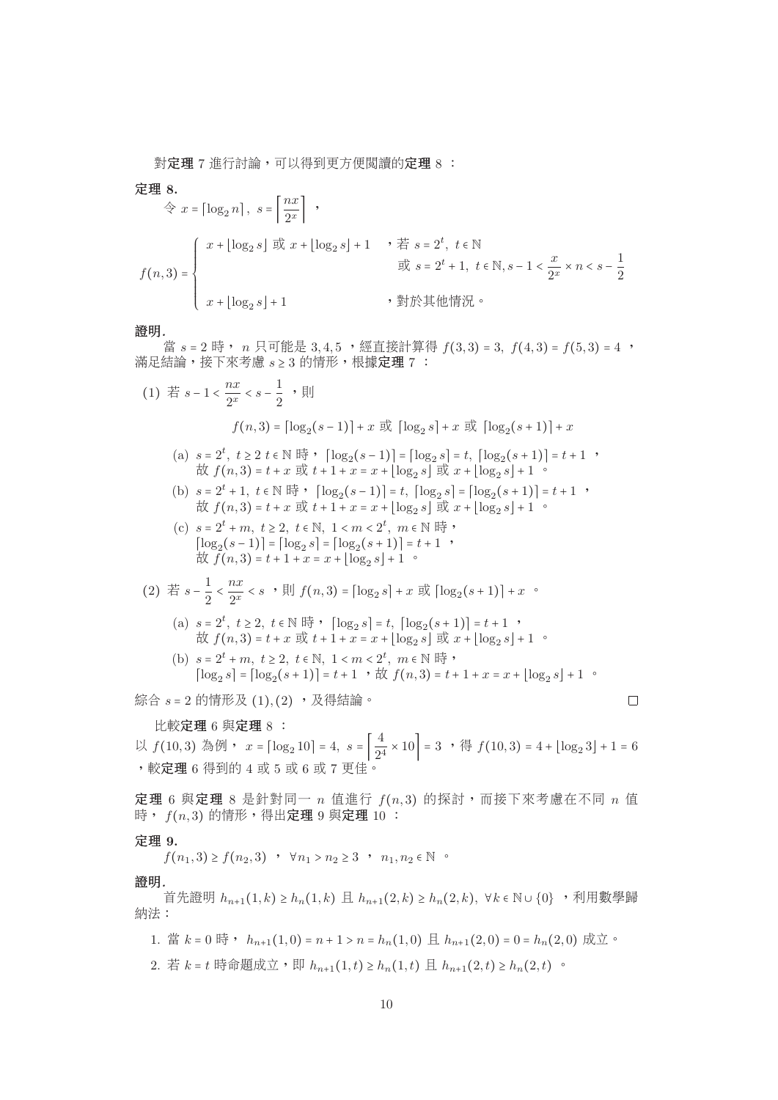對定理 7 進行討論,可以得到更方便閲讀的定理 8:

定理 **8.**

$$
\hat{\Leftrightarrow} x = \lceil \log_2 n \rceil, \ s = \left\lceil \frac{nx}{2^x} \right\rceil,
$$
\n
$$
f(n,3) = \begin{cases} x + \lfloor \log_2 s \rfloor & \text{if } x + \lfloor \log_2 s \rfloor + 1 \\ x + \lfloor \log_2 s \rfloor + 1 \end{cases}, \ \ \tilde{\pi} \ s = 2^t, \ t \in \mathbb{N}
$$
\n
$$
\tilde{\pi} \ s = 2^t + 1, \ t \in \mathbb{N}, s - 1 < \frac{x}{2^x} \times n < s - \frac{1}{2}
$$
\n
$$
x + \lfloor \log_2 s \rfloor + 1 \qquad \qquad y \text{ in } \mathbb{N} \ \text{in } \mathbb{N}.
$$

#### 證明*.*

當  $s = 2$  時,  $n \neq \emptyset$  可能是 3, 4, 5, 經直接計算得  $f(3,3) = 3$ ,  $f(4,3) = f(5,3) = 4$ , 滿足結論,接下來考慮 s ≥ 3 的情形,根據定理 7 :

$$
(1) \quad \frac{\pi}{6} s - 1 < \frac{nx}{2^x} < s - \frac{1}{2}, \quad \frac{\pi}{2}
$$
\n
$$
f(n,3) = \left[\log_2(s-1)\right] + x \quad \frac{\pi}{2} \left[\log_2 s\right] + x \quad \frac{\pi}{2} \left[\log_2(s+1)\right] + x
$$
\n
$$
(a) \quad s = 2^t, \quad t \ge 2 \quad t \in \mathbb{N} \quad \frac{\pi}{6} \quad , \quad \left[\log_2(s-1)\right] = \left[\log_2 s\right] = t, \quad \left[\log_2(s+1)\right] = t + 1 \quad , \quad \frac{\pi}{6} f(n,3) = t + x \quad \frac{\pi}{6} t + 1 + x = x + \left[\log_2 s\right] \quad \frac{\pi}{6} x + \left[\log_2 s\right] + 1 \quad .
$$
\n
$$
(b) \quad s = 2^t + 1, \quad t \in \mathbb{N} \quad \frac{\pi}{6} \quad , \quad \left[\log_2(s-1)\right] = t, \quad \left[\log_2 s\right] = \left[\log_2(s+1)\right] = t + 1 \quad , \quad \frac{\pi}{6} f(n,3) = t + x \quad \frac{\pi}{6} t + 1 + x = x + \left[\log_2 s\right] \quad \frac{\pi}{6} x + \left[\log_2 s\right] + 1 \quad .
$$
\n
$$
(c) \quad s = 2^t + m, \quad t \ge 2, \quad t \in \mathbb{N}, \quad 1 < m < 2^t, \quad m \in \mathbb{N} \quad \frac{\pi}{6} \quad , \quad \left[\log_2(s-1)\right] = \left[\log_2 s\right] = \left[\log_2(s+1)\right] = t + 1 \quad , \quad \frac{\pi}{6} f(n,3) = t + 1 + x = x + \left[\log_2 s\right] + 1 \quad .
$$
\n
$$
(2) \quad \frac{\pi}{6} s - \frac{1}{2} < \frac{nx}{2^x} < s \quad , \quad \frac{\pi}{6} f(n,3) = \left[\log_2 s\right] = t, \quad \left[\log_2(s+1)\right] = t + 1 \quad , \quad \frac{\pi}{6} f(n,3) = t + x \quad \frac{\pi}{6} t
$$

<sup>比</sup>較定<sup>理</sup> 6 <sup>與</sup>定<sup>理</sup> 8 : 以  $f(10,3)$  為例,  $x = \lceil \log_2 10 \rceil = 4$ ,  $s = \left\lfloor \frac{4}{24} \times 10 \right\rfloor = 3$  ,得  $f(10,3) = 4 + \lfloor \log_2 3 \rfloor + 1 = 6$ , 較定理 6 得到的 4 或 5 或 6 或 7 更佳。 ,較定<sup>理</sup> 6 <sup>得</sup>到<sup>的</sup> 4 <sup>或</sup> 5 <sup>或</sup> 6 <sup>或</sup> 7 <sup>更</sup>佳。

定理 6 與定理 8 是針對同一  $n$  值進行  $f(n, 3)$  的探討,而接下來考慮在不同  $n$  值 時,  $f(n, 3)$ 的情形, 得出定理 9 與定理 10:

#### 定理 **9.**

 $f(n_1, 3) \ge f(n_2, 3)$  ,  $\forall n_1 > n_2 \ge 3$  ,  $n_1, n_2 \in \mathbb{N}$  or

#### 證明*.*

首先證明  $h_{n+1}(1,k) \geq h_n(1,k)$  且  $h_{n+1}(2,k) \geq h_n(2,k)$ ,  $\forall k \in \mathbb{N} \cup \{0\}$ , 利用數學歸 納法:

- 1. <sup>當</sup> <sup>k</sup> <sup>=</sup> <sup>0</sup> <sup>時</sup>, <sup>h</sup>n+1(1, <sup>0</sup>) = <sup>n</sup> <sup>+</sup> <sup>1</sup> <sup>&</sup>gt; <sup>n</sup> <sup>=</sup> <sup>h</sup>n(1, <sup>0</sup>) <sup>且</sup> <sup>h</sup>n+1(2, <sup>0</sup>) = <sup>0</sup> <sup>=</sup> <sup>h</sup>n(2, <sup>0</sup>) <sup>成</sup>立。
- 2. 若  $k = t$  時命題成立, 即  $h_{n+1}(1,t) \geq h_n(1,t)$  且  $h_{n+1}(2,t) \geq h_n(2,t)$  。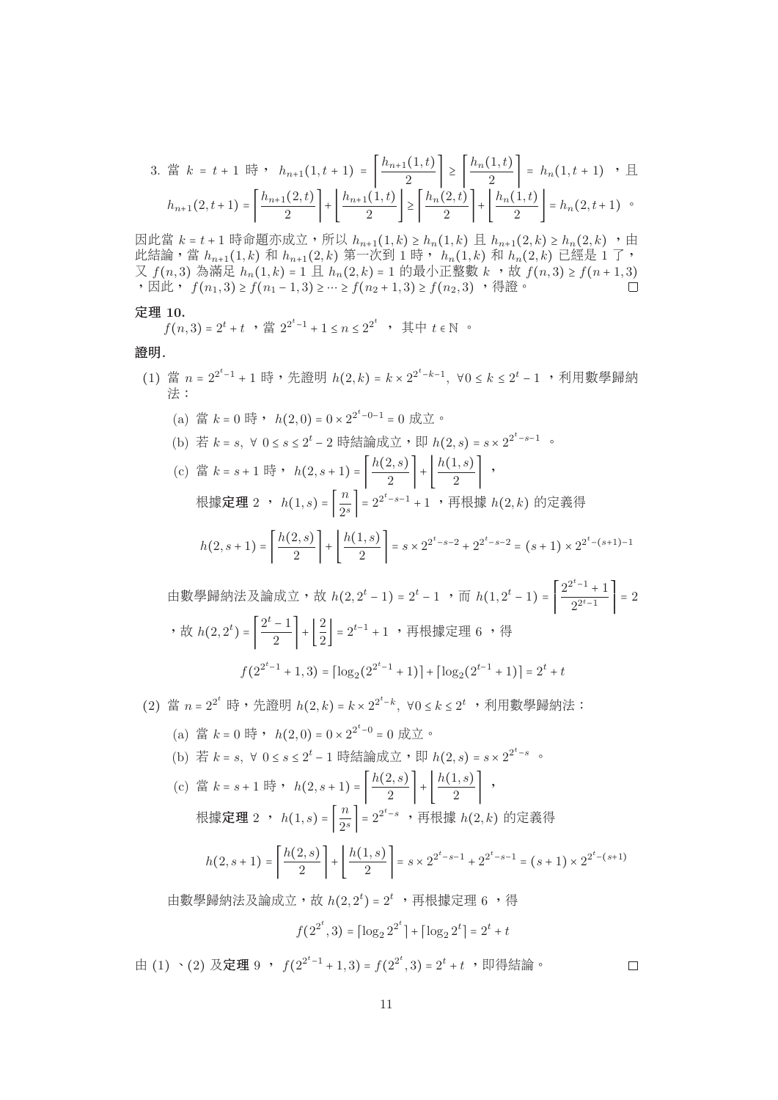3. 
$$
\ddot{g}_k = t + 1 \quad \text{iff} \quad h_{n+1}(1, t+1) = \left[ \frac{h_{n+1}(1, t)}{2} \right] \ge \left[ \frac{h_n(1, t)}{2} \right] = h_n(1, t+1) \quad \text{if} \quad h_{n+1}(2, t+1) = \left[ \frac{h_{n+1}(2, t)}{2} \right] + \left[ \frac{h_{n+1}(1, t)}{2} \right] \ge \left[ \frac{h_n(2, t)}{2} \right] + \left[ \frac{h_n(1, t)}{2} \right] = h_n(2, t+1) \quad \text{if} \quad h_{n+1}(2, t+1) = \left[ \frac{h_{n+1}(2, t)}{2} \right] + \left[ \frac{h_n(2, t)}{2} \right] = \left[ \frac{h_n(2, t)}{2} \right] = \left[ \frac{h_n(2, t)}{2} \right] = \left[ \frac{h_n(2, t)}{2} \right] = \left[ \frac{h_n(2, t)}{2} \right] = \left[ \frac{h_n(2, t)}{2} \right] = \left[ \frac{h_n(2, t)}{2} \right] = \left[ \frac{h_n(2, t)}{2} \right] = \left[ \frac{h_n(2, t)}{2} \right] = \left[ \frac{h_n(2, t)}{2} \right] = \left[ \frac{h_n(2, t)}{2} \right] = \left[ \frac{h_n(2, t)}{2} \right] = \left[ \frac{h_n(2, t)}{2} \right] = \left[ \frac{h_n(2, t)}{2} \right] = \left[ \frac{h_n(2, t)}{2} \right] = \left[ \frac{h_n(2, t)}{2} \right] = \left[ \frac{h_n(2, t)}{2} \right] = \left[ \frac{h_n(2, t)}{2} \right] = \left[ \frac{h_n(2, t)}{2} \right] = \left[ \frac{h_n(2, t)}{2} \right] = \left[ \frac{h_n(2, t)}{2} \right] = \left[ \frac{h_n(2, t)}{2} \right] = \left[ \frac{h_n(2, t)}{2} \right] = \left[ \frac{h_n(2, t)}{2} \right] = \left[ \frac{h_n(2, t)}{2} \right] = \left[ \frac{h_n
$$

因此當  $k = t + 1$ 時命題亦成立,所以  $h_{n+1}(1, k) \geq h_n(1, k)$ 且  $h_{n+1}(2, k) \geq h_n(2, k)$ ,由 此結論,當  $h_{n+1}(1,k)$  和  $h_{n+1}(2,k)$  第一次到 1 時,  $h_n(1,k)$  和  $h_n(2,k)$  已經是 1 了, 又  $f(n, 3)$  為滿足  $h_n(1, k) = 1$  且  $h_n(2, k) = 1$  的最小正整數  $k$ ,  $\forall$   $f(n, 3) \ge f(n+1, 3)$ , 因此,  $f(n, 3) \ge f(n-1, 3)$ , 因此,  $f(n_1, 3) \ge f(n_1 - 1, 3) \ge \cdots \ge f(n_2 + 1, 3) \ge f(n_2, 3)$ , 得證。

#### 定理 **10.**

$$
f(n,3) = 2^t + t
$$
,  $\sharp \sharp 2^{2^t-1} + 1 \le n \le 2^{2^t}$ ,  $\sharp \sharp \vdash t \in \mathbb{N}$ 

## 證明*.*

(1) 當  $n = 2^{2^t-1} + 1$  時,先證明  $h(2, k) = k \times 2^{2^t-k-1}$ ,  $\forall 0 \le k \le 2^t - 1$ , 利用數學歸納 法: (a) 當  $k = 0$  時,  $h(2, 0) = 0 \times 2^{2^{t}-0-1} = 0$  成立。 (b) 若 k = s, ∀ 0 ≤ s ≤ 2<sup>t</sup> − 2 時結論成立, 即  $h(2, s) = s \times 2^{2^t - s - 1}$ . (c) 當  $k = s + 1$  時,  $h(2, s + 1) = \left| \frac{h(2, s)}{2} \right| + \left[ \frac{h(1, s)}{2} \right]$ , 根據定理 2 ,  $h(1,s) = \left| \frac{n}{2^s} \right| = 2^{2^t - s - 1} + 1$  ,再根據  $h(2,k)$  的定義得  $h(2, s+1) = \left| \frac{h(2, s)}{2} \right| + \left| \frac{h(1, s)}{2} \right| = s \times 2^{2^t - s - 2} + 2^{2^t - s - 2} = (s + 1) \times 2^{2^t - (s+1) - 1}$ 由數學歸納法及論成立,故  $h(2, 2^t - 1) = 2^t - 1$  , 而  $h(1, 2^t - 1) =$  $\frac{2^{2^t-1}+1}{2^{2^t-1}}$  $2^{2^t-1}$  $\Bigg| = 2$ ,故  $h(2, 2^t) = \left| \frac{2^s - 1}{2} \right| + \left[ \frac{2}{2} \right] = 2^{t-1} + 1$  ,再根據定理 6 ,得  $f(2^{2^t-1}+1,3)=[\log_2(2^{2^t-1}+1)]+[\log_2(2^{t-1}+1)] = 2^t+t$ (2) 當  $n = 2^{2^t}$  時,先證明  $h(2, k) = k \times 2^{2^t - k}$ , ∀ $0 \le k \le 2^t$  ,利用數學歸納法: (a) 當 k = 0 時, h(2, 0) = 0 × 2<sup>2t-0</sup> = 0 成立。 (b) 若 k = s, ∀ 0 ≤ s ≤ 2<sup>t</sup> − 1 時結論成立, 即  $h(2, s) = s \times 2^{2^{t}-s}$ 

(c) 
$$
\ddot{f} = k = s + 1
$$
  $\ddot{f} = \ddot{h}(2, s + 1) = \left| \frac{h(2, s)}{2} \right| + \left| \frac{h(1, s)}{2} \right|$ ,  

$$
\text{Ré } \ddot{f} = \ddot{f} \ddot{f} = \ddot{h}(1, s) = \left[ \frac{n}{2^s} \right] = 2^{2^t - s}, \quad \text{Ré } \ddot{f} = \ddot{h}(2, k) \text{ for } \ddot{f} = \ddot{f} \ddot{f} = \ddot{f} \ddot{f} = \ddot{f} \ddot{f} \ddot{f} = \ddot{f} \ddot{f} \ddot{f} = \ddot{f} \ddot{f} \ddot{f} \ddot{f} = \ddot{f} \ddot{f} \ddot{f} \ddot{f} \ddot{f} \ddot{f} \ddot{f} \ddot{f} \ddot{f} \ddot{f} \ddot{f} \ddot{f} \ddot{f} \ddot{f} \ddot{f} \ddot{f} \ddot{f} \ddot{f} \ddot{f} \ddot{f} \ddot{f} \ddot{f} \ddot{f} \ddot{f} \ddot{f} \ddot{f} \ddot{f} \ddot{f} \ddot{f} \ddot{f} \ddot{f} \ddot{f} \ddot{f} \ddot{f} \ddot{f} \ddot{f} \ddot{f} \ddot{f} \ddot{f} \ddot{f} \ddot{f} \ddot{f} \ddot{f} \ddot{f} \ddot{f} \ddot{f} \ddot{f} \ddot{f} \ddot{f} \ddot{f} \ddot{f} \ddot{f} \ddot{f} \ddot{f} \ddot{f} \ddot{f} \ddot{f} \ddot{f} \ddot{f} \ddot{f} \ddot{f} \ddot{f} \ddot{f} \ddot{f} \ddot{f} \ddot{f} \ddot{f} \ddot{f} \ddot{f} \ddot{f} \ddot{f} \ddot{f} \ddot{f} \ddot{f} \ddot{f} \ddot{f} \ddot{f} \ddot{f} \ddot{f} \ddot{f} \ddot{f} \dd
$$

$$
h(2, s+1) = \left\lceil \frac{h(2, s)}{2} \right\rceil + \left\lfloor \frac{h(1, s)}{2} \right\rceil = s \times 2^{2^t - s - 1} + 2^{2^t - s - 1} = (s+1) \times 2^{2^t - (s+1)}
$$

由數學歸納法及論成立,故  $h(2, 2^t) = 2^t$  ,再根據定理 6 ,得

$$
f(2^{2^t},3) = \lceil \log_2 2^{2^t} \rceil + \lceil \log_2 2^t \rceil = 2^t + t
$$

由 (1) ヽ(2) 及定理 9 ,  $f(2^{2^t-1}+1,3) = f(2^{2^t},3) = 2^t + t$  ,即得結論。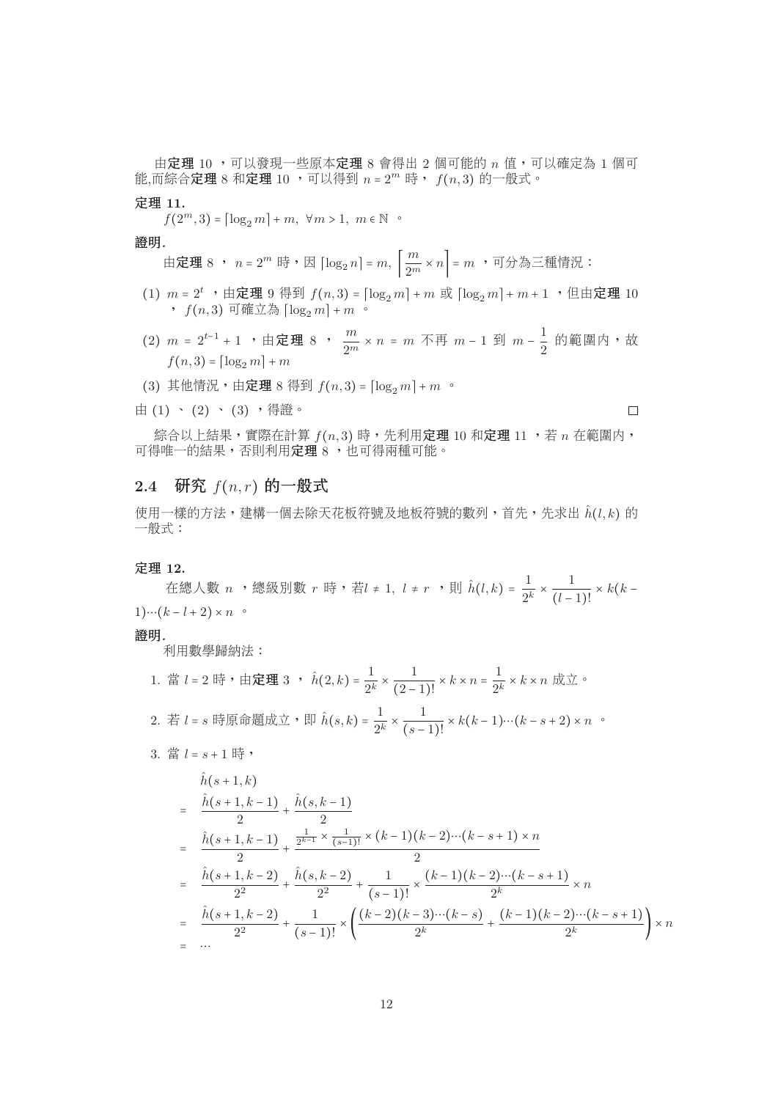由定理 10, 可以發現一些原本定理 8 會得出 2 個可能的 n 值,可以確定為 1 個可 能,而綜合定理 8 和定理 10, 可以得到  $n = 2^m$  時,  $f(n, 3)$  的一般式。

#### 定理 **11.**

 $f(2^m,3) = \lceil \log_2 m \rceil + m, \forall m > 1, m \in \mathbb{N}$ 

證明*.*

由定理 8 ,  $n = 2^m$  時 , 因  $\lceil \log_2 n \rceil = m$ ,  $\left| \frac{m}{2^m} \times n \right| = m$  , 可分為三種情況 :

- (1)  $m = 2^t$ , 由定理 9 得到  $f(n, 3) = \lfloor \log_2 m \rfloor + m$  或  $\lfloor \log_2 m \rfloor + m + 1$ , 但由定理 10 ,  $f(n, 3)$  可確立為  $\lceil \log_2 m \rceil + m$  。
- (2)  $m = 2^{t-1} + 1$  ,由定理 8 ,  $\frac{m}{2^m} \times n = m$  不再  $m 1$  到  $m \frac{1}{2}$  的範圍内,故  $f(n,3) = \lceil \log_2 m \rceil + m$  $f(n, 3) = \lceil \log_2 m \rceil + m$
- (3) 其他情況,由定理 8 得到  $f(n, 3) = \lfloor \log_2 m \rfloor + m$ 。
- 由 $(1)$  、 $(2)$  、 $(3)$  ,得證。

 $\Box$ 

綜合以上結果,實際在計算 $f(n, 3)$ 時,先利用定理 10 和定理 11,表 n 在範圍内, 可得唯一的結果,否則利用定理 8, 也可得兩種可能。

# $2.4$  研究  $f(n,r)$  的一般式

使用一樣的方法,建構一個去除天花板符號及地板符號的數列,首先,先求出  $\hat{h}(l, k)$  的 一般式:

定理 **12.**

在總人數 n ,總級別數 r 時,若l ≠ 1, l ≠ r ,則 ĥ(l, k) =  $\frac{1}{2^k} \times \frac{1}{(l-1)!} \times k(k-1+2) \times n$  。  $1)\cdots (k-l+2) \times n$  °

## 證明*.*

利用數學歸納法:

\n1. 
$$
\ddot{g} \, l = 2 \, \text{E} \, \cdot \, \text{H} \, \mathcal{E} \, \mathcal{H} \, \mathcal{H} \, \mathcal{H} \, \mathcal{H} \, \mathcal{H} \, \mathcal{H} \, \mathcal{H} \, \mathcal{H} \, \mathcal{H} \, \mathcal{H} \, \mathcal{H} \, \mathcal{H} \, \mathcal{H} \, \mathcal{H} \, \mathcal{H} \, \mathcal{H} \, \mathcal{H} \, \mathcal{H} \, \mathcal{H} \, \mathcal{H} \, \mathcal{H} \, \mathcal{H} \, \mathcal{H} \, \mathcal{H} \, \mathcal{H} \, \mathcal{H} \, \mathcal{H} \, \mathcal{H} \, \mathcal{H} \, \mathcal{H} \, \mathcal{H} \, \mathcal{H} \, \mathcal{H} \, \mathcal{H} \, \mathcal{H} \, \mathcal{H} \, \mathcal{H} \, \mathcal{H} \, \mathcal{H} \, \mathcal{H} \, \mathcal{H} \, \mathcal{H} \, \mathcal{H} \, \mathcal{H} \, \mathcal{H} \, \mathcal{H} \, \mathcal{H} \, \mathcal{H} \, \mathcal{H} \, \mathcal{H} \, \mathcal{H} \, \mathcal{H} \, \mathcal{H} \, \mathcal{H} \, \mathcal{H} \, \mathcal{H} \, \mathcal{H} \, \mathcal{H} \, \mathcal{H} \, \mathcal{H} \, \mathcal{H} \, \mathcal{H} \, \mathcal{H} \, \mathcal{H} \, \mathcal{H} \, \mathcal{H} \, \mathcal{H} \, \mathcal{H} \, \mathcal{H} \, \mathcal{H} \, \mathcal{H} \, \mathcal{H} \, \mathcal{H} \, \mathcal{H} \, \mathcal{H} \, \mathcal{H} \, \mathcal{H} \, \mathcal{H} \, \mathcal{H} \, \mathcal{H} \, \mathcal{H} \, \mathcal{H} \, \mathcal{H} \, \mathcal{H} \, \mathcal{H} \, \mathcal{H} \, \mathcal{H} \, \mathcal{H} \, \mathcal{H} \, \mathcal
$$

 $3.$  當  $l = s + 1$  時,

$$
h(s+1,k)
$$
\n
$$
= \frac{\hat{h}(s+1,k-1)}{2} + \frac{\hat{h}(s,k-1)}{2}
$$
\n
$$
= \frac{\hat{h}(s+1,k-1)}{2} + \frac{\frac{1}{2^{k-1}} \times \frac{1}{(s-1)!} \times (k-1)(k-2)\cdots(k-s+1) \times n}{2}
$$
\n
$$
= \frac{\hat{h}(s+1,k-2)}{2^2} + \frac{\hat{h}(s,k-2)}{2^2} + \frac{1}{(s-1)!} \times \frac{(k-1)(k-2)\cdots(k-s+1)}{2^k} \times n
$$
\n
$$
= \frac{\hat{h}(s+1,k-2)}{2^2} + \frac{1}{(s-1)!} \times \left(\frac{(k-2)(k-3)\cdots(k-s)}{2^k} + \frac{(k-1)(k-2)\cdots(k-s+1)}{2^k}\right) \times n
$$
\n
$$
= \cdots
$$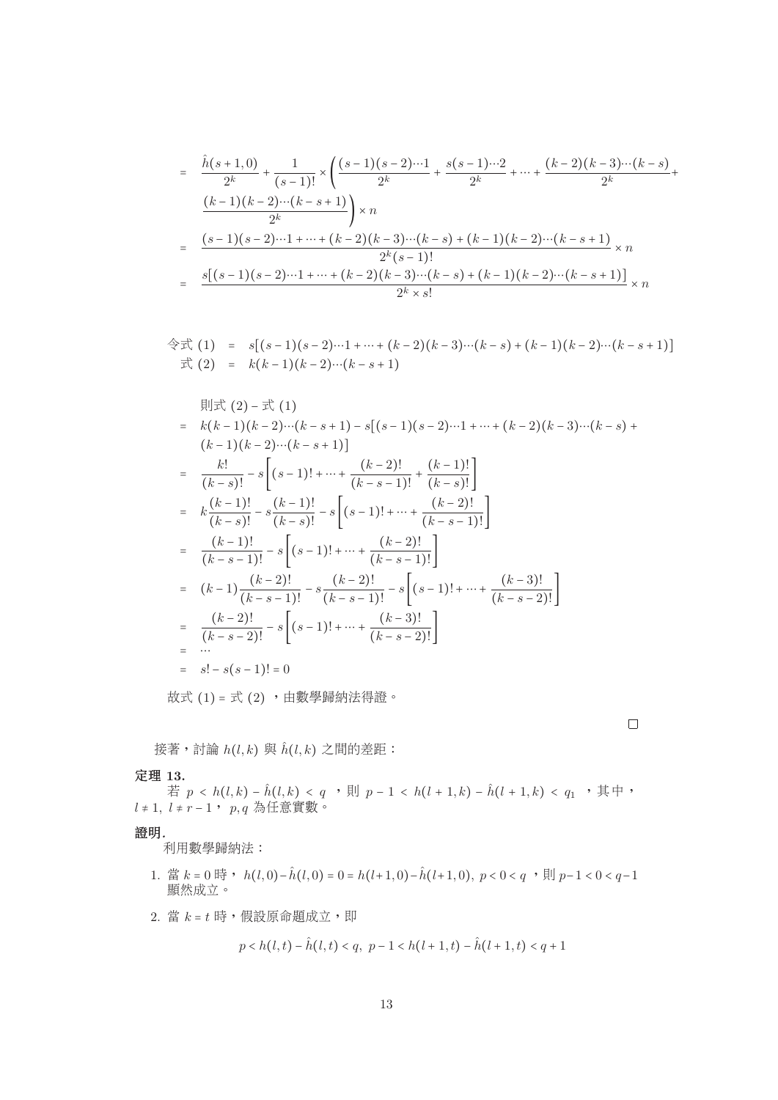$$
= \frac{\hat{h}(s+1,0)}{2^{k}} + \frac{1}{(s-1)!} \times \left( \frac{(s-1)(s-2)\cdots 1}{2^{k}} + \frac{s(s-1)\cdots 2}{2^{k}} + \cdots + \frac{(k-2)(k-3)\cdots (k-s)}{2^{k}} + \frac{(k-1)(k-2)\cdots (k-s+1)}{2^{k}} \right) \times n
$$
  

$$
= \frac{(s-1)(s-2)\cdots 1 + \cdots + (k-2)(k-3)\cdots (k-s) + (k-1)(k-2)\cdots (k-s+1)}{2^{k}(s-1)!} \times n
$$
  

$$
= \frac{s[(s-1)(s-2)\cdots 1 + \cdots + (k-2)(k-3)\cdots (k-s) + (k-1)(k-2)\cdots (k-s+1)]}{2^{k} \times s!} \times n
$$

$$
\begin{array}{rcl}\n\textcircled{+} & \textcircled{+} & (1) & = & s[(s-1)(s-2)\cdots 1 + \cdots + (k-2)(k-3)\cdots (k-s) + (k-1)(k-2)\cdots (k-s+1)] \\
\textcircled{+} & \textcircled{+} & (2) & = & k(k-1)(k-2)\cdots (k-s+1)\n\end{array}
$$

$$
H(x) = k(k-1)(k-2)\cdots(k-s+1) - s[(s-1)(s-2)\cdots 1 + \cdots + (k-2)(k-3)\cdots (k-s) + (k-1)(k-2)\cdots (k-s+1)]
$$
  
\n
$$
= \frac{k!}{(k-s)!} - s[(s-1)! + \cdots + \frac{(k-2)!}{(k-s-1)!} + \frac{(k-1)!}{(k-s)!}]
$$
  
\n
$$
= k\frac{(k-1)!}{(k-s)!} - s\frac{(k-1)!}{(k-s)!} - s[(s-1)! + \cdots + \frac{(k-2)!}{(k-s-1)!}]
$$
  
\n
$$
= \frac{(k-1)!}{(k-s-1)!} - s[(s-1)! + \cdots + \frac{(k-2)!}{(k-s-1)!}]
$$
  
\n
$$
= (k-1)\frac{(k-2)!}{(k-s-1)!} - s\frac{(k-2)!}{(k-s-1)!} - s[(s-1)! + \cdots + \frac{(k-3)!}{(k-s-2)!}]
$$
  
\n
$$
= \frac{(k-2)!}{(k-s-2)!} - s[(s-1)! + \cdots + \frac{(k-3)!}{(k-s-2)!}]
$$
  
\n
$$
= \cdots
$$
  
\n
$$
= s! - s(s-1)! = 0
$$

 $\Box$ 

<sup>故</sup><sup>式</sup> (1) = <sup>式</sup> (2) ,由數學歸納法得證。

接著, 討論  $h(l, k)$ 與  $\hat{h}(l, k)$  之間的差距:

## 定理 **13.**

若  $p < h(l, k) - \hat{h}(l, k) < q$  , 則  $p - 1 < h(l + 1, k) - \hat{h}(l + 1, k) < q_1$ , 其中,  $l ≠ 1, l ≠ r - 1, p, q$ 為任意實數。

#### 證明*.*

利用數學歸納法:

- 1. 當 k = 0 時, h(l, 0) − h(l, 0) = 0 = h(l+1, 0) − h(l+1, 0), p < 0 < q,  $\exists$  | p − 1 < 0 < q − 1 顯然成立。
- 2. 當  $k = t$ 時,假設原命題成立,即

$$
p < h(l, t) - \hat{h}(l, t) < q, \ p - 1 < h(l + 1, t) - \hat{h}(l + 1, t) < q + 1
$$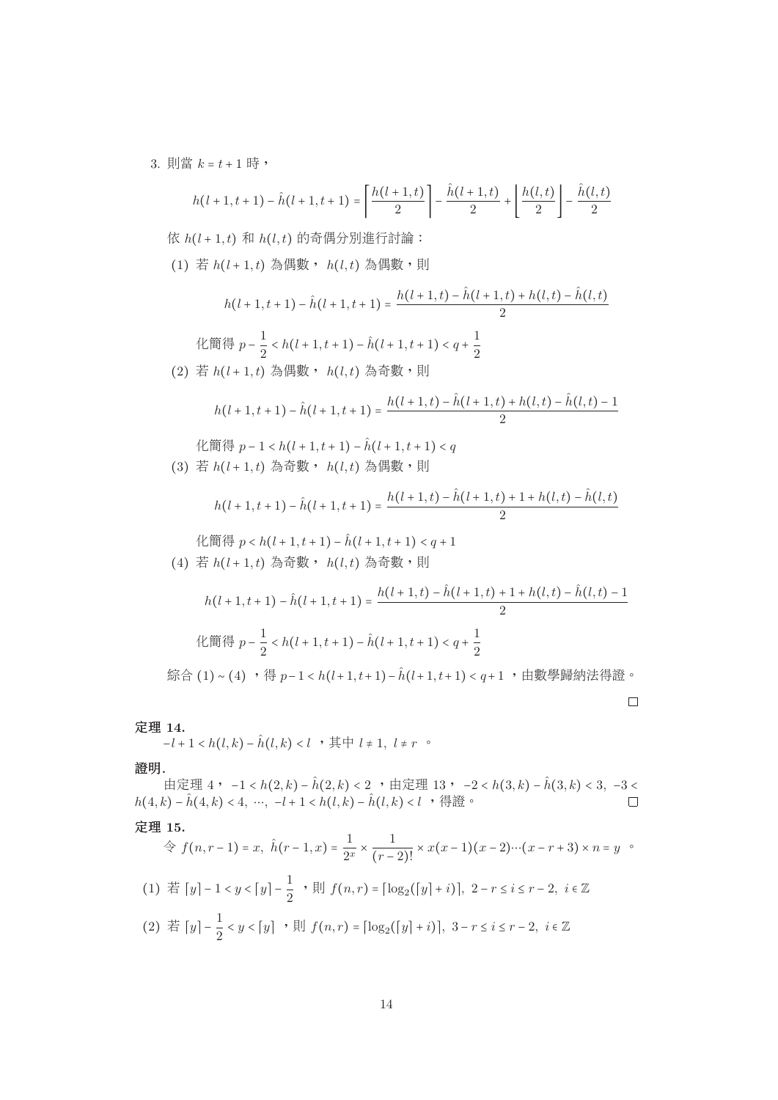3. 則當  $k = t + 1$ 時,

$$
h(l+1, t+1) - \hat{h}(l+1, t+1) = \left\lceil \frac{h(l+1, t)}{2} \right\rceil - \frac{\hat{h}(l+1, t)}{2} + \left\lfloor \frac{h(l, t)}{2} \right\rfloor - \frac{\hat{h}(l, t)}{2}
$$

依  $h(l + 1, t)$  和  $h(l, t)$  的奇偶分別進行討論:

(1) 若  $h(l + 1, t)$ 為偶數,  $h(l, t)$ 為偶數,則

$$
h(l+1, t+1) - \hat{h}(l+1, t+1) = \frac{h(l+1, t) - \hat{h}(l+1, t) + h(l, t) - \hat{h}(l, t)}{2}
$$

$$
\mathcal{H}\left(\mathbb{H}\left(\frac{1}{2}n\right)-\frac{1}{2}\n
$$
(2) \quad \dot{f} = h(l+1,t) \quad \text{A}\left(\frac{1}{2}n\right) \quad \text{A}\left(\frac{1}{2}n\right) \quad \text{A}\left(\frac{1}{2}n\right) \quad \text{B}\left(\frac{1}{2}n\right) \quad \text{B}\left(\frac{1}{2}n\right) \quad \text{B}\left(\frac{1}{2}n\right) \quad \text{C}\left(\frac{1}{2}n\right) \quad \text{D}\left(\frac{1}{2}n\right) \quad \text{A}\left(\frac{1}{2}n\right) \quad \text{C}\left(\frac{1}{2}n\right) \quad \text{D}\left(\frac{1}{2}n\right) \quad \text{D}\left(\frac{1}{2}n\right) \quad \text{D}\left(\frac{1}{2}n\right) \quad \text{D}\left(\frac{1}{2}n\right) \quad \text{D}\left(\frac{1}{2}n\right) \quad \text{E}\left(\frac{1}{2}n\right) \quad \text{E}\left(\frac{1}{2}n\right) \quad \text{E}\left(\frac{1}{2}n\right) \quad \text{E}\left(\frac{1}{2}n\right) \quad \text{E}\left(\frac{1}{2}n\right) \quad \text{E}\left(\frac{1}{2}n\right) \quad \text{E}\left(\frac{1}{2}n\right) \quad \text{E}\left(\frac{1}{2}n\right) \quad \text{E}\left(\frac{1}{2}n\right) \quad \text{E}\left(\frac{1}{2}n\right) \quad \text{E}\left(\frac{1}{2}n\right) \quad \text{E}\left(\frac{1}{2}n\right) \quad \text{E}\left(\frac{1}{2}n\right) \quad \text{E}\left(\frac{1}{2}n\right) \quad \text{E}\left(\frac{1}{2}n\right) \quad \text{E}\left(\frac{1}{2}n\right) \quad \text{E}\left(\frac{1}{2}n\right) \quad \text{E}\left(\frac{1}{2}n\right) \quad \text{E}\left(\frac{1}{2}n\right) \quad \text{E}\left(\frac{1}{2}n\right) \quad \text
$$
$$

$$
h(l+1,t+1) - \hat{h}(l+1,t+1) = \frac{h(l+1,t) - \hat{h}(l+1,t) + h(l,t) - \hat{h}(l,t) - 1}{2}
$$

$$
\mathcal{H} \big( \mathbb{H} \big( \mathbb{H} \big) - 1 < h(l+1, t+1) - \hat{h}(l+1, t+1) < q
$$
\n
$$
\text{(3) } \nexists h(l+1, t) \nexists \exists \mathbb{H} \, \bullet \, h(l, t) \nexists \exists \mathbb{H} \mathbb{H} \bullet \mathbb{H}
$$

$$
h(l+1,t+1) - \hat{h}(l+1,t+1) = \frac{h(l+1,t) - \hat{h}(l+1,t) + 1 + h(l,t) - \hat{h}(l,t)}{2}
$$

$$
\mathcal{K} \big( \mathbb{H} \big( \mathbb{H} \big) \mathbb{H} \big) - \hat{h}(l+1,t+1) < q+1
$$
\n
$$
\mathcal{K} \big( \mathbb{H} \big) \big( \mathbb{H} \big) \big( \mathbb{H} \big) + \mathbb{H} \big( \mathbb{H} \big) \big( \mathbb{H} \big) + \mathbb{H} \big( \mathbb{H} \big) + \mathbb{H} \big( \mathbb{H} \big) + \mathbb{H} \big( \mathbb{H} \big) + \mathbb{H} \big( \mathbb{H} \big) + \mathbb{H} \big( \mathbb{H} \big) + \mathbb{H} \big( \mathbb{H} \big) + \mathbb{H} \big( \mathbb{H} \big) + \mathbb{H} \big( \mathbb{H} \big) + \mathbb{H} \big( \mathbb{H} \big) + \mathbb{H} \big( \mathbb{H} \big) + \mathbb{H} \big( \mathbb{H} \big) + \mathbb{H} \big( \mathbb{H} \big) + \mathbb{H} \big( \mathbb{H} \big) + \mathbb{H} \big( \mathbb{H} \big) + \mathbb{H} \big( \mathbb{H} \big) + \mathbb{H} \big( \mathbb{H} \big) + \mathbb{H} \big( \mathbb{H} \big) + \mathbb{H} \big( \mathbb{H} \big) + \mathbb{H} \big( \mathbb{H} \big) + \mathbb{H} \big( \mathbb{H} \big) + \mathbb{H} \big( \mathbb{H} \big) + \mathbb{H} \big( \mathbb{H} \big) + \mathbb{H} \big( \mathbb{H} \big) + \mathbb{H} \big( \mathbb{H} \big) + \mathbb{H} \big( \mathbb{H} \big) + \mathbb{H} \big( \mathbb{H} \big) + \mathbb{H} \big( \mathbb{H} \big) + \mathbb{H} \big( \mathbb{H} \big) + \mathbb{H} \big( \mathbb{H} \big) + \mathbb{H} \big( \mathbb{H} \big) + \mathbb{H} \big( \mathbb{H} \big) + \mathbb{H} \big( \mathbb{H} \big) + \mathbb{H} \big( \mathbb{
$$

$$
h(l+1,t+1) - \hat{h}(l+1,t+1) = \frac{h(l+1,t) - \hat{h}(l+1,t) + 1 + h(l,t) - \hat{h}(l,t) - 1}{2}
$$
  
든 
$$
h(m + 1, t+1) - \hat{h}(l+1, t+1) < q + \frac{1}{2}
$$
  
∴ 
$$
f(m + 1, t+1) - \hat{h}(l+1, t+1) < q + 1
$$

### 定理 **14.**

 $-l+1 < h(l,k) - \hat{h}(l,k) < l$  , 其中  $l \neq 1, l \neq r$  。

# 證明*.*

由定理 4, −1 < h(2, k) − ĥ(2, k) < 2, + 由定理 13, −2 < h(3, k) − ĥ(3, k) < 3, −3 < k) − ĥ(4, k) < 4, …, −l + 1 < h(l, k) − ĥ(l, k) < l, ; }  $\overline{\mathbb{R}}$  \*  $h(4, k) - \hat{h}(4, k) < 4, \dots, -l + 1 < h(l, k) - \hat{h}(l, k) < l$ , 得證。

定理 **15.**

$$
\oint f(n, r-1) = x, \ \hat{h}(r-1, x) = \frac{1}{2^x} \times \frac{1}{(r-2)!} \times x(x-1)(x-2)\cdots(x-r+3) \times n = y
$$
  
(1)  $\overrightarrow{H} [y] - 1 < y < [y] - \frac{1}{2}$ ,  $\overrightarrow{H} [f(n, r) = [\log_2([y] + i)], 2 - r \le i \le r-2, i \in \mathbb{Z}$   
(2)  $\overrightarrow{H} [y] - \frac{1}{2} < y < [y]$ ,  $\overrightarrow{H} [f(n, r) = [\log_2([y] + i)], 3 - r \le i \le r-2, i \in \mathbb{Z}$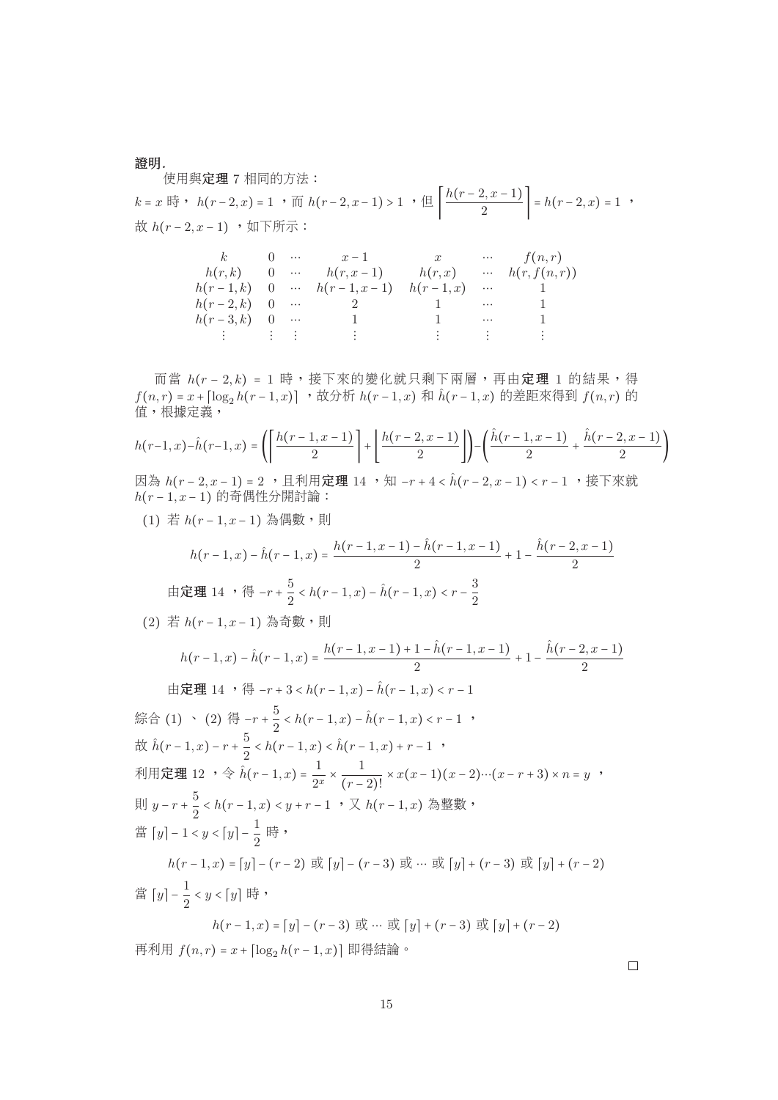證明*.*

<sup>使</sup>用與定<sup>理</sup> 7 <sup>相</sup>同的方法:

 $k = x \quad \text{iff} \quad h(r-2, x) = 1 \quad \text{iff} \quad h(r-2, x-1) > 1 \quad \text{iff} \quad \left| \frac{h(r-2, x-1)}{2} \right| = h(r-2, x) = 1 \quad \text{iff} \quad h(r-2, x-1) \quad \text{iff} \quad h(r-2, x-1) = h(r-2, x-1) \quad \text{iff} \quad h(r-2, x-1) = h(r-2, x-1) \quad \text{iff} \quad h(r-2, x-1) = h(r-2, x-1) \quad \text{iff} \quad h(r-2, x-1) = h(r-2, x-1) \quad \text{$ 故  $h(r-2, x-1)$ , 如下所示:

| k                                                                                                                             |  | 0 $x-1$ $x$ $f(n,r)$                          |  |                |
|-------------------------------------------------------------------------------------------------------------------------------|--|-----------------------------------------------|--|----------------|
|                                                                                                                               |  | $h(r,k)$ 0 $h(r,x-1)$ $h(r,x)$ $h(r, f(n,r))$ |  |                |
|                                                                                                                               |  | $h(r-1,k)$ 0 … $h(r-1,x-1)$ $h(r-1,x)$ …      |  |                |
| $h(r-2,k) = 0$                                                                                                                |  | 2 1 …                                         |  |                |
| $h(r-3,k)$ 0                                                                                                                  |  |                                               |  |                |
| 2008년 - 대한민국의 대한민국의 대한민국의 대한민국의 대한민국의 대한민국의 <del>대한민국의 대한민국의 대한민국의 대한민국의 대한민국의 대한민</del> 국의 대한민국의 대한민국의 대한민국의 대한민국의 대한민국의 대한민 |  | $\mathcal{L} = \mathcal{L} \mathcal{L}$       |  | しまい いっぽい いっとまる |

而當  $h(r - 2, k) = 1$ 時,接下來的變化就只剩下兩層,再由定理 1 的結果,得  $f(n,r) = x + \left[\log_2 h(r-1,x)\right]$ ,故分析  $h(r-1,x)$ 和  $\hat{h}(r-1,x)$ 的差距來得到  $f(n,r)$ 的 值,根據定義,

$$
h(r-1,x) - \hat{h}(r-1,x) = \left( \left\lceil \frac{h(r-1,x-1)}{2} \right\rceil + \left\lfloor \frac{h(r-2,x-1)}{2} \right\rfloor \right) - \left( \frac{\hat{h}(r-1,x-1)}{2} + \frac{\hat{h}(r-2,x-1)}{2} \right)
$$

因為  $h(r-2, x-1) = 2$  , 且利用定理 14, 知 -r + 4 <  $\hat{h}(r-2, x-1)$  < r - 1, 接下來就  $h(r-1, x-1)$  的奇偶性分開討論:

(1) 若  $h(r-1, x-1)$  為偶數,則

$$
h(r-1,x) - \hat{h}(r-1,x) = \frac{h(r-1,x-1) - \hat{h}(r-1,x-1)}{2} + 1 - \frac{\hat{h}(r-2,x-1)}{2}
$$
  
in  $\mathbb{E}[\mathbb{H} \ 14 \ , \ \mathbb{H} \ -r + \frac{5}{2} < h(r-1,x) - \hat{h}(r-1,x) < r - \frac{3}{2}$ 

(2) 若 h(r-1,x-1) 為奇數,則

$$
h(r-1,x) - \hat{h}(r-1,x) = \frac{h(r-1,x-1) + 1 - \hat{h}(r-1,x-1)}{2} + 1 - \frac{\hat{h}(r-2,x-1)}{2}
$$

由定理 14 ,得 −r + 3 < h(r − 1, x) −  $\hat{h}(r - 1, x)$  < r − 1 綜合 (1) 、 (2) 得 −r +  $\frac{3}{2}$  < h(r − 1, x) − h(r − 1, x) < r − 1 , 故  $\hat{h}(r-1,x) - r + \frac{5}{2} < h(r-1,x) < \hat{h}(r-1,x) + r - 1$ , 利用定理 12 , 令  $\hat{h}(r-1,x) = \frac{1}{2^x} \times \frac{1}{(r-2)!} \times x(x-1)(x-2)\cdots(x-r+3) \times n = y$ ,  $(r - 2)!$ 則  $y-r+\frac{5}{2} < h(r-1,x) < y+r-1$  ,  $\bigtriangledown h(r-1,x)$  為整數, 當  $[y] - 1 < y < [y] - \frac{1}{2}$  時, *h*(r − 1, x) = [y] – (r − 2) 或 [y] – (r − 3) 或 … 或 [y] + (r − 3) 或 [y] + (r − 2) 當  $[y] - \frac{1}{2} < y < [y]$  時,  $h(r-1, x) = [y] - (r-3)$  或 … 或  $[y] + (r-3)$  或  $[y] + (r-2)$ 再利用  $f(n,r) = x + [\log_2 h(r-1,x)]$  即得結論。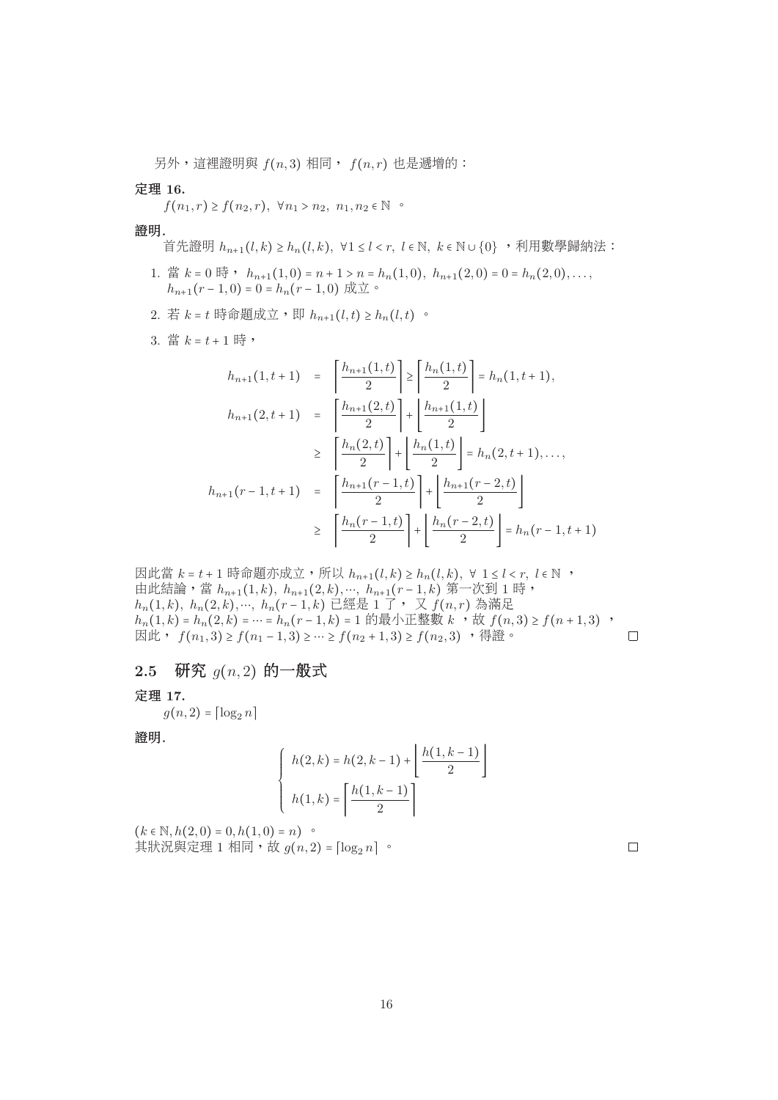另外,這裡證明與  $f(n, 3)$ 相同,  $f(n, r)$ 也是遞增的:

### 定理 **16.**

 $f(n_1, r) \ge f(n_2, r), \forall n_1 > n_2, n_1, n_2 \in \mathbb{N}$ 

#### 證明*.*

首先・明 
$$
h_{n+1}(l,k) \ge h_n(l,k)
$$
,  $\forall 1 \le l < r$ ,  $l \in \mathbb{N}$ ,  $k \in \mathbb{N} \cup \{0\}$ , ,利用數學歸納法:

- 1. 當  $k = 0$  時,  $h_{n+1}(1,0) = n+1 > n = h_n(1,0), h_{n+1}(2,0) = 0 = h_n(2,0), \ldots$  $h_{n+1}(r-1,0) = 0 = h_n(r-1,0)$  成立。
- 2. 若  $k = t$  時命題成立, 即  $h_{n+1}(l, t) \geq h_n(l, t)$ 。
- $3.$  當  $k = t + 1$  時,

$$
h_{n+1}(1, t+1) = \left\lceil \frac{h_{n+1}(1, t)}{2} \right\rceil \ge \left\lceil \frac{h_n(1, t)}{2} \right\rceil = h_n(1, t+1),
$$
  
\n
$$
h_{n+1}(2, t+1) = \left\lceil \frac{h_{n+1}(2, t)}{2} \right\rceil + \left\lfloor \frac{h_{n+1}(1, t)}{2} \right\rfloor
$$
  
\n
$$
\ge \left\lceil \frac{h_n(2, t)}{2} \right\rceil + \left\lfloor \frac{h_n(1, t)}{2} \right\rfloor = h_n(2, t+1), ...,
$$
  
\n
$$
h_{n+1}(r-1, t+1) = \left\lceil \frac{h_{n+1}(r-1, t)}{2} \right\rceil + \left\lfloor \frac{h_{n+1}(r-2, t)}{2} \right\rfloor
$$
  
\n
$$
\ge \left\lceil \frac{h_n(r-1, t)}{2} \right\rceil + \left\lfloor \frac{h_n(r-2, t)}{2} \right\rfloor = h_n(r-1, t+1)
$$

因此當  $k = t + 1$ 時命題亦成立,所以  $h_{n+1}(l, k) \geq h_n(l, k)$ ,  $\forall$   $1 \leq l < r$ ,  $l \in \mathbb{N}$ , 由此結論,當  $h_{n+1}(1, k)$ ,  $h_{n+1}(2, k)$ ,…,  $h_{n+1}(r-1, k)$  第一次到 1 時,  $h_n(1, k)$ ,  $h_n(2, k)$ ,…,  $h_n(r-1, k)$  已經是 1 了, 又  $f(n, r)$  為滿足  $h_n(1,k) = h_n(2,k) = ∴ h_n(r-1,k) = 1$  的最小正整數  $k$  ,故  $f(n, 3) \ge f(n+1,3)$  , 因此,  $f(n_1, 3) \ge f(n_1 - 1, 3) \ge \cdots \ge f(n_2 + 1, 3) \ge f(n_2, 3)$ , 得證。  $\Box$ 

**2.5** <sup>研</sup><sup>究</sup> g(n, <sup>2</sup>) <sup>的</sup>一般<sup>式</sup>

### 定理 **17.**

 $g(n, 2) = \lceil \log_2 n \rceil$ 

證明*.*

$$
\begin{cases} h(2,k) = h(2,k-1) + \left\lfloor \frac{h(1,k-1)}{2} \right\rfloor \\ h(1,k) = \left\lceil \frac{h(1,k-1)}{2} \right\rceil \end{cases}
$$

 $(k \in \mathbb{N}, h(2,0) = 0, h(1,0) = n)$  。 其狀況與定理 1 相同,故  $g(n, 2) = \lceil \log_2 n \rceil$ 。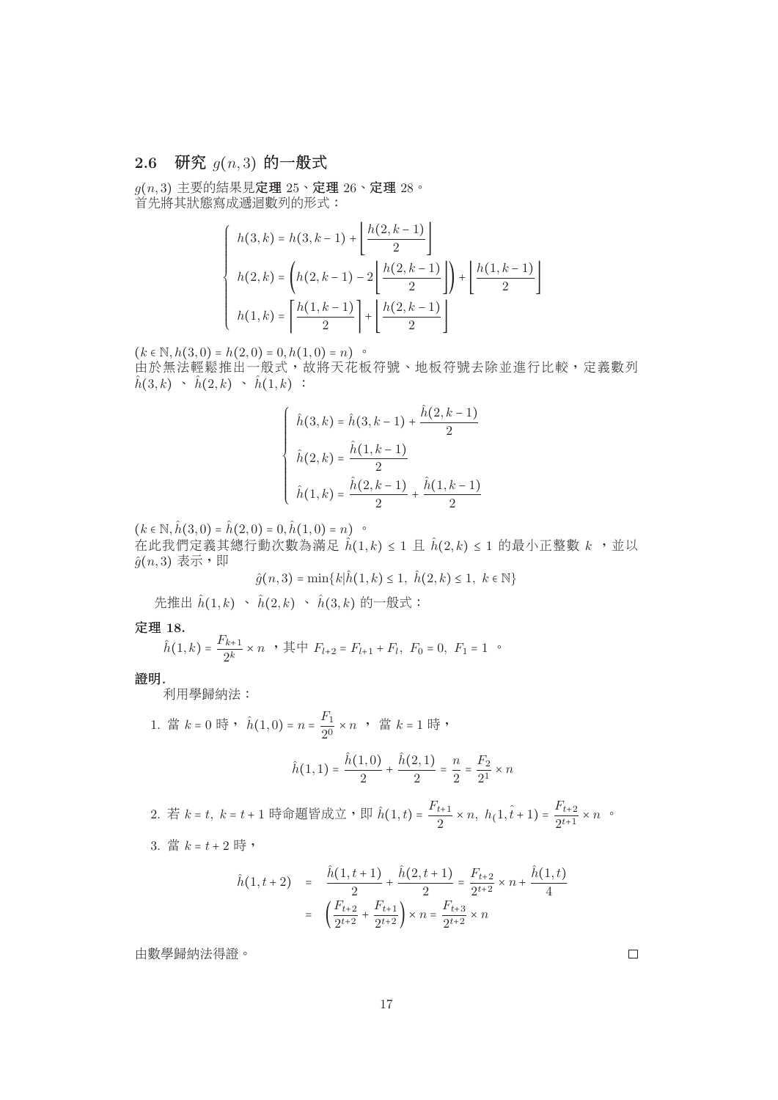# **2.6** <sup>研</sup><sup>究</sup> g(n, <sup>3</sup>) <sup>的</sup>一般<sup>式</sup>

 $g(n, 3)$ 主要的結果見定理  $25 \cdot$ 定理  $26 \cdot$ 定理  $28 \cdot$ 首先將其狀態寫成遞迴數列的形式:

$$
\begin{cases}\n h(3,k) = h(3,k-1) + \left\lfloor \frac{h(2,k-1)}{2} \right\rfloor \\
 h(2,k) = \left( h(2,k-1) - 2 \left\lfloor \frac{h(2,k-1)}{2} \right\rfloor \right) + \left\lfloor \frac{h(1,k-1)}{2} \right\rfloor \\
 h(1,k) = \left\lceil \frac{h(1,k-1)}{2} \right\rceil + \left\lfloor \frac{h(2,k-1)}{2} \right\rfloor\n\end{cases}
$$

 $(k \in \mathbb{N}, h(3,0) = h(2,0) = 0, h(1,0) = n)$ 

由於無法輕鬆推出一般式,故將天花板符號、地板符號去除並進行比較,定義數列  $\hat{h}(3, k) \rightarrow \hat{h}(2, k) \rightarrow \hat{h}(1, k)$ :

$$
\hat{h}(3,k) = \hat{h}(3,k-1) + \frac{\hat{h}(2,k-1)}{2}
$$

$$
\hat{h}(2,k) = \frac{\hat{h}(1,k-1)}{2}
$$

$$
\hat{h}(1,k) = \frac{\hat{h}(2,k-1)}{2} + \frac{\hat{h}(1,k-1)}{2}
$$

 $(k \in \mathbb{N}, \hat{h}(3,0) = \hat{h}(2,0) = 0, \hat{h}(1,0) = n)$  .

在此我們定義其總行動次數為滿足  $\hat{h}(1, k) \leq 1$  且  $\hat{h}(2, k) \leq 1$  的最小正整數  $k$ , 並以  $\hat{g}(n, 3)$  表示, 即  $\hat{g}(n, 3)$  表示, 即

$$
\hat{g}(n,3) = \min\{k|\hat{h}(1,k) \le 1, \ \hat{h}(2,k) \le 1, \ k \in \mathbb{N}\}\
$$

先推出  $\hat{h}(1, k) \sim \hat{h}(2, k) \sim \hat{h}(3, k)$  的一般式:

## 定理 **18.**

$$
\hat{h}(1,k) = \frac{F_{k+1}}{2^k} \times n \quad \text{if } F_{l+2} = F_{l+1} + F_l, \ F_0 = 0, \ F_1 = 1 \quad \text{or}
$$

### 證明*.*

利用學歸納法:

1. 
$$
\ddot{f} = k = 0
$$
  $\ddot{f} = \dot{h}(1,0) = n = \frac{F_1}{2^0} \times n$ ,  $\ddot{f} = k = 1$   $\ddot{f} = \dot{h}(1,0) = \frac{\hat{h}(1,0)}{2} + \frac{\hat{h}(2,1)}{2} = \frac{n}{2} = \frac{F_2}{2^1} \times n$ 

2. 若  $k = t$ ,  $k = t + 1$  時命題皆成立,即 $\hat{h}(1, t) = \frac{r_{t+1}}{2} \times n$ ,  $h(1, \hat{t} + 1) = \frac{r_{t+2}}{2^{t+1}} \times n$ 。 3. 當  $k = t + 2$ 時,

$$
\hat{h}(1, t+2) = \frac{\hat{h}(1, t+1)}{2} + \frac{\hat{h}(2, t+1)}{2} = \frac{F_{t+2}}{2^{t+2}} \times n + \frac{\hat{h}(1, t)}{4}
$$

$$
= \left(\frac{F_{t+2}}{2^{t+2}} + \frac{F_{t+1}}{2^{t+2}}\right) \times n = \frac{F_{t+3}}{2^{t+2}} \times n
$$

由數學歸納法得證。

|  | ٦ |  |
|--|---|--|
|  |   |  |
|  |   |  |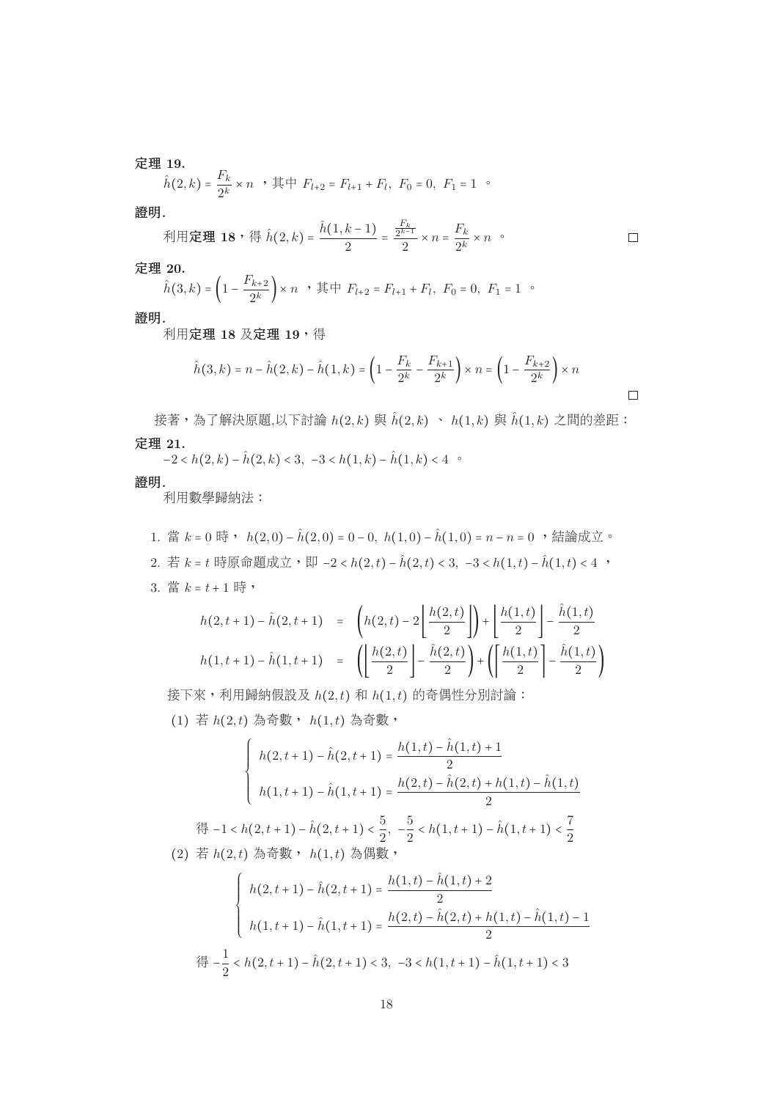定理 **19.**

$$
\hat{h}(2,k) = \frac{F_k}{2^k} \times n \quad , \quad \text{if } F_{l+2} = F_{l+1} + F_l, \quad F_0 = 0, \quad F_1 = 1 \quad \text{or}
$$

證明*.*

\n- $$
\mathcal{F}(\mathbf{H}) = \mathbf{18} \cdot \mathbf{4} \quad \hat{h}(2,k) = \frac{\hat{h}(1,k-1)}{2} = \frac{F_k}{2} \times n = \frac{F_k}{2^k} \times n
$$
\n
\n- □
\n

定理 **20.**

$$
\hat{h}(3,k) = \left(1 - \frac{F_{k+2}}{2^k}\right) \times n \rightarrow \text{H} + F_{l+2} = F_{l+1} + F_l, \ F_0 = 0, \ F_1 = 1 \rightarrow
$$

證明*.*

利用定理 **18** 及定理 **19**,得

 $\mathbf{r}$ 

$$
\hat{h}(3,k) = n - \hat{h}(2,k) - \hat{h}(1,k) = \left(1 - \frac{F_k}{2^k} - \frac{F_{k+1}}{2^k}\right) \times n = \left(1 - \frac{F_{k+2}}{2^k}\right) \times n
$$

 $\Box$ 

接著,為了解決原題,以下討論  $h(2, k)$ 與 $\hat{h}(2, k) \sim h(1, k)$ 與  $\hat{h}(1, k)$ 之間的差距: 定理 **21.**

 $-2 < h(2, k) - \hat{h}(2, k) < 3, -3 < h(1, k) - \hat{h}(1, k) < 4$ 

證明*.*

利用數學歸納法:

1. 當 k = 0 時, h(2,0) − h(2,0) = 0 − 0, h(1,0) − h(1,0) = n − n = 0, 結論成立。 2. 若 k = t 時原命題成立, 即 −2 < h(2, t) − h(2, t) < 3, -3 < h(1, t) − h(1, t) < 4, v  $3.$  當  $k = t + 1$ 時,

$$
h(2, t+1) - \hat{h}(2, t+1) = \left( h(2, t) - 2 \left[ \frac{h(2, t)}{2} \right] \right) + \left[ \frac{h(1, t)}{2} \right] - \frac{\hat{h}(1, t)}{2}
$$

$$
h(1, t+1) - \hat{h}(1, t+1) = \left( \left[ \frac{h(2, t)}{2} \right] - \frac{\hat{h}(2, t)}{2} \right) + \left( \left[ \frac{h(1, t)}{2} \right] - \frac{\hat{h}(1, t)}{2} \right)
$$

接下來,利用歸納假設及 $h(2,t)$ 和 $h(1,t)$ 的奇偶性分別討論:  $(1)$  若  $h(2,t)$  為奇數,  $h(1,t)$  為奇數,

$$
\begin{cases}\nh(2, t+1) - \hat{h}(2, t+1) = \frac{h(1, t) - \hat{h}(1, t) + 1}{2} \\
h(1, t+1) - \hat{h}(1, t+1) = \frac{h(2, t) - \hat{h}(2, t) + h(1, t) - \hat{h}(1, t)}{2}\n\end{cases}
$$

得 −1 < h(2, t + 1) − ĥ(2, t + 1) <  $\frac{3}{2}$ , − $\frac{3}{2}$  < h(1, t + 1) − h(1, t + 1) <  $\frac{1}{2}$  $(2)$  若  $h(2,t)$  為奇數,  $h(1,t)$  為偶數,

$$
\begin{cases}\nh(2, t+1) - \hat{h}(2, t+1) = \frac{h(1, t) - \hat{h}(1, t) + 2}{2} \\
h(1, t+1) - \hat{h}(1, t+1) = \frac{h(2, t) - \hat{h}(2, t) + h(1, t) - \hat{h}(1, t) - 1}{2}\n\end{cases}
$$
\n
$$
\begin{aligned}\n\text{f} &= \frac{1}{2} < h(2, t+1) - \hat{h}(2, t+1) < 3, -3 < h(1, t+1) - \hat{h}(1, t+1) < 3\n\end{aligned}
$$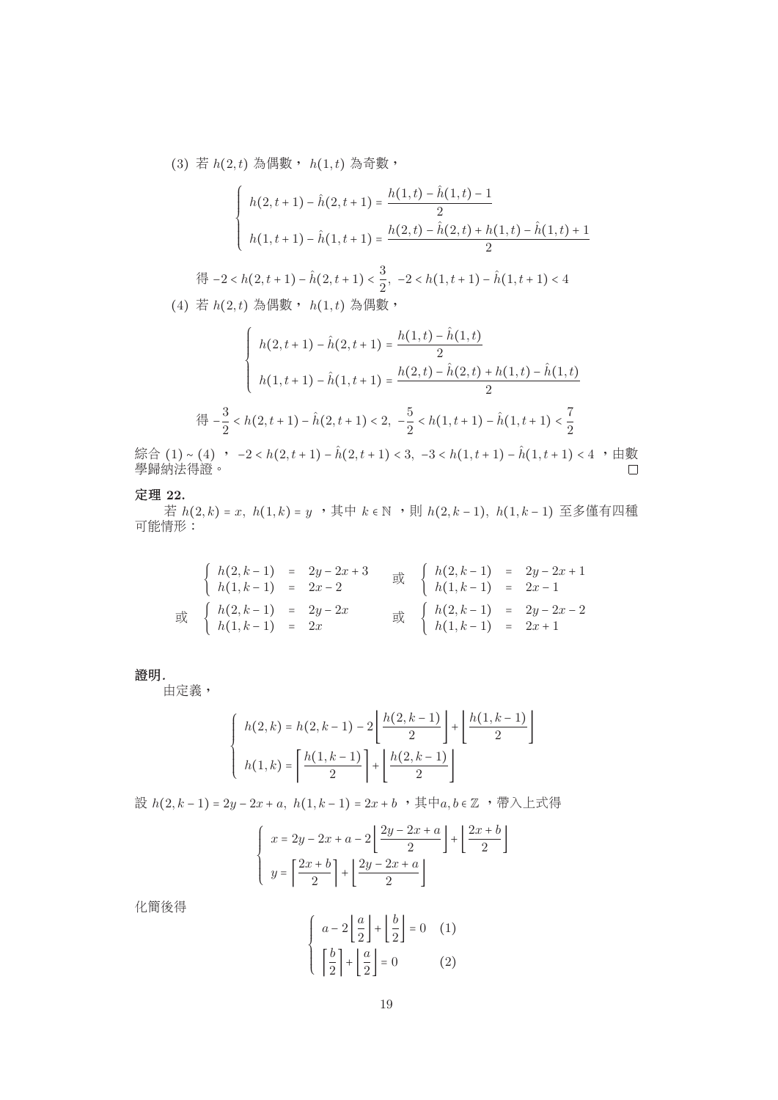$(3)$  若  $h(2,t)$  為偶數,  $h(1,t)$  為奇數,

$$
\begin{cases}\nh(2, t+1) - \hat{h}(2, t+1) = \frac{h(1, t) - \hat{h}(1, t) - 1}{2} \\
h(1, t+1) - \hat{h}(1, t+1) = \frac{h(2, t) - \hat{h}(2, t) + h(1, t) - \hat{h}(1, t) + 1}{2}\n\end{cases}
$$

得 −2 < h(2, t + 1) − h(2, t + 1) <  $\frac{3}{2}$ , −2 < h(1, t + 1) − h(1, t + 1) < 4  $(4)$  若  $h(2,t)$  為偶數,  $h(1,t)$  為偶數,

$$
\begin{cases}\nh(2, t+1) - \hat{h}(2, t+1) = \frac{h(1, t) - \hat{h}(1, t)}{2} \\
h(1, t+1) - \hat{h}(1, t+1) = \frac{h(2, t) - \hat{h}(2, t) + h(1, t) - \hat{h}(1, t)}{2}\n\end{cases}
$$
\n
$$
\begin{aligned}\n\text{f}(3, t+1) = \hat{h}(2, t+1) < 2, \quad -\frac{5}{2} < h(1, t+1) - \hat{h}(1, t+1) < \frac{7}{2} \\
\text{f}(4, t+1) = \hat{h}(2, t+1) - \hat{h}(2, t+1) < 3, \quad -3 < h(1, t+1) - \hat{h}(1, t+1) < 4, \quad t\end{aligned}
$$

綜合 (1)∼(4) , −2 < h(2, t + 1) − ĥ(2, t + 1) < 3, −3 < h(1, t + 1) − ĥ(1, t + 1) < 4 ,由數<br>學歸納法得證。

### 定理 **22.**

若  $h(2, k) = x$ ,  $h(1, k) = y$  , 其中  $k ∈ ℕ$  , 則  $h(2, k-1)$ ,  $h(1, k-1)$  至多僅有四種 可能情形:

$$
\begin{cases}\nh(2, k-1) = 2y - 2x + 3 \\
h(1, k-1) = 2x - 2\n\end{cases} \n\implies\n\begin{cases}\nh(2, k-1) = 2y - 2x + 1 \\
h(1, k-1) = 2x - 1\n\end{cases}
$$
\n
$$
\implies\n\begin{cases}\nh(2, k-1) = 2y - 2x \\
h(1, k-1) = 2y - 2x - 2\n\end{cases}
$$
\n
$$
\implies\n\begin{cases}\nh(2, k-1) = 2y - 2x - 2 \\
h(1, k-1) = 2x + 1\n\end{cases}
$$

#### 證明*.*

由定義,

$$
\begin{cases} h(2,k) = h(2,k-1) - 2\left\lfloor \frac{h(2,k-1)}{2} \right\rfloor + \left\lfloor \frac{h(1,k-1)}{2} \right\rfloor \\ h(1,k) = \left\lceil \frac{h(1,k-1)}{2} \right\rceil + \left\lfloor \frac{h(2,k-1)}{2} \right\rfloor \end{cases}
$$

設  $h(2, k-1) = 2y - 2x + a, h(1, k-1) = 2x + b$ , 其中a, b ∈ Z, 带入上式得

$$
\begin{cases}\nx = 2y - 2x + a - 2\left\lfloor \frac{2y - 2x + a}{2} \right\rfloor + \left\lfloor \frac{2x + b}{2} \right\rfloor \\
y = \left\lceil \frac{2x + b}{2} \right\rceil + \left\lfloor \frac{2y - 2x + a}{2} \right\rfloor\n\end{cases}
$$

化簡後得

$$
\begin{cases}\n a-2\left\lfloor \frac{a}{2} \right\rfloor + \left\lfloor \frac{b}{2} \right\rfloor = 0 & (1) \\
 \left\lceil \frac{b}{2} \right\rceil + \left\lfloor \frac{a}{2} \right\rfloor = 0 & (2)\n\end{cases}
$$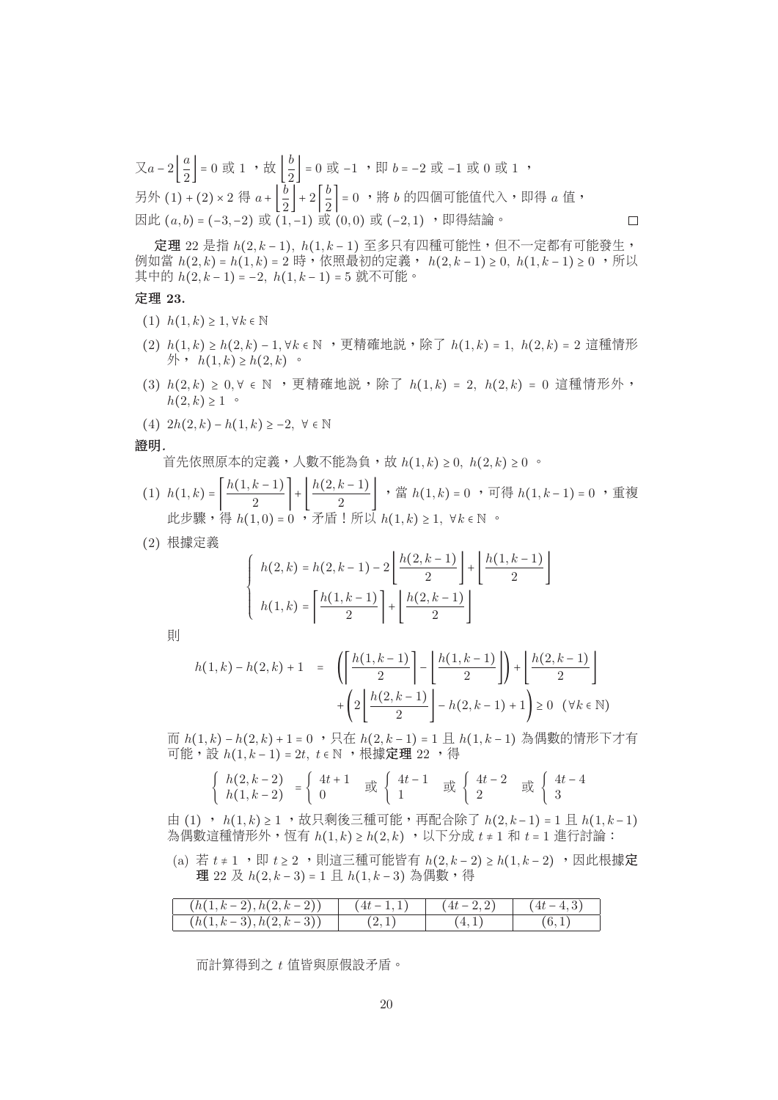又a − 2  $\left[\frac{\alpha}{2}\right]$  = 0 或 1 , 故  $\left[\frac{\alpha}{2}\right]$  = 0 或 −1 , 即 b = −2 或 −1 或 0 或 1 , 另外  $(1) + (2) \times 2$  得  $a + \left[ \frac{b}{2} \right] + 2 \left[ \frac{b}{2} \right] = 0$  ,將 b 的四個可能值代入,即得  $a$  值, 因此 (a, b) = (−3,−2) 或 (1,−1) 或 (0,0) 或 (−2,1) ,即得結論。  $\Box$ 

<sup>定</sup><sup>理</sup> 22 <sup>是</sup><sup>指</sup> h(2, k <sup>−</sup> 1), h(1, k <sup>−</sup> 1) <sup>至</sup>多只有四種可能性,但不一定都有可能發生, 例如當  $h(2, k) = h(1, k) = 2$  時,依照最初的定義,  $h(2, k-1) \ge 0$ ,  $h(1, k-1) \ge 0$ , 所以 其中的  $h(2, k-1) = 2$ ,  $h(1, k-1) = 5$  就不可能。

## 定理 **23.**

- (1)  $h(1, k) \geq 1, \forall k \in \mathbb{N}$
- (2)  $h(1, k) \ge h(2, k) 1$ ,  $\forall k \in \mathbb{N}$ , 更精確地説, 除了  $h(1, k) = 1$ ,  $h(2, k) = 2$  這種情形  $\oint$  ,  $h(1,k)$  ≥  $h(2,k)$  。
- (3)  $h(2, k) > 0, \forall \in \mathbb{N}$ , 更精確地説, 除了  $h(1, k) = 2$ ,  $h(2, k) = 0$ 這種情形外,  $h(2, k) > 1$
- (4)  $2h(2, k) h(1, k) \ge -2$ ,  $\forall \in \mathbb{N}$

#### 證明*.*

首先依照原本的定義,人數不能為負,故  $h(1, k) ≥ 0$ ,  $h(2, k) ≥ 0$ 。

- (1)  $h(1,k) = \left| \frac{h(1,k-1)}{2} \right| + \left| \frac{h(2,k-1)}{2} \right|$ , 當  $h(1,k) = 0$ , 可得  $h(1,k-1) = 0$ , 重複<br>此共驟, 得  $h(1, 0) = 0$ , 矛盾  $1$  所  $\mathbb{N}$   $h(1, k) > 1$ ,  $\forall k \in \mathbb{N}$ . 此步驟,得 h(1,0) = 0 ,矛盾!所以 h(1,k) ≥ 1, ∀k ∈ N 。
- (2) <sup>根</sup>據定<sup>義</sup>

$$
\begin{cases} h(2,k) = h(2,k-1) - 2\left\lfloor \frac{h(2,k-1)}{2} \right\rfloor + \left\lfloor \frac{h(1,k-1)}{2} \right\rfloor \\ h(1,k) = \left\lceil \frac{h(1,k-1)}{2} \right\rceil + \left\lfloor \frac{h(2,k-1)}{2} \right\rfloor \end{cases}
$$

則

$$
h(1,k) - h(2,k) + 1 = \left( \left\lceil \frac{h(1,k-1)}{2} \right\rceil - \left\lfloor \frac{h(1,k-1)}{2} \right\rfloor \right) + \left\lfloor \frac{h(2,k-1)}{2} \right\rfloor + \left( 2 \left\lfloor \frac{h(2,k-1)}{2} \right\rfloor - h(2,k-1) + 1 \right) \ge 0 \quad (\forall k \in \mathbb{N})
$$

而  $h(1, k) - h(2, k) + 1 = 0$ ,只在  $h(2, k - 1) = 1$ 且  $h(1, k - 1)$ 為偶數的情形下才有 可能,設 h(1, k − 1) = 2t, t ∈ N ,根據定理 22 ,得

$$
\begin{cases}\nh(2,k-2) \\
h(1,k-2)\n\end{cases} = \begin{cases}\n4t+1 \\
0\n\end{cases} \n\begin{cases}\n4t-1 \\
1\n\end{cases} \n\begin{cases}\n4t-2 \\
2\n\end{cases} \n\begin{cases}\n4t-4 \\
3\n\end{cases}
$$

由 (1) ,  $h(1, k) \geq 1$  , 故只剩後三種可能, 再配合除了  $h(2, k-1) = 1 \text{ }\mathbb{E} h(1, k-1)$ 為偶數這種情形外,恆有  $h(1, k) ≥ h(2, k)$ , 以下分成  $t ≠ 1$  和  $t = 1$  進行討論:

(a) 若  $t ≠ 1$ , 即  $t ≥ 2$ , 則這三種可能皆有  $h(2, k-2) ≥ h(1, k-2)$ , 因此根據定 理 22 及 h(2, k − 3) = 1 且 h(1, k − 3) 為偶數,得

| $(h(1,k-2), h(2,k-2))$   | $(4t-1,1)$ | $(4t-2,2)$ | $(4t-4,3)$ |
|--------------------------|------------|------------|------------|
| $(h(1, k-3), h(2, k-3))$ | (2,1)      |            |            |
|                          |            |            |            |

<sup>而</sup>計算得到<sup>之</sup> t <sup>值</sup>皆與原假設矛盾。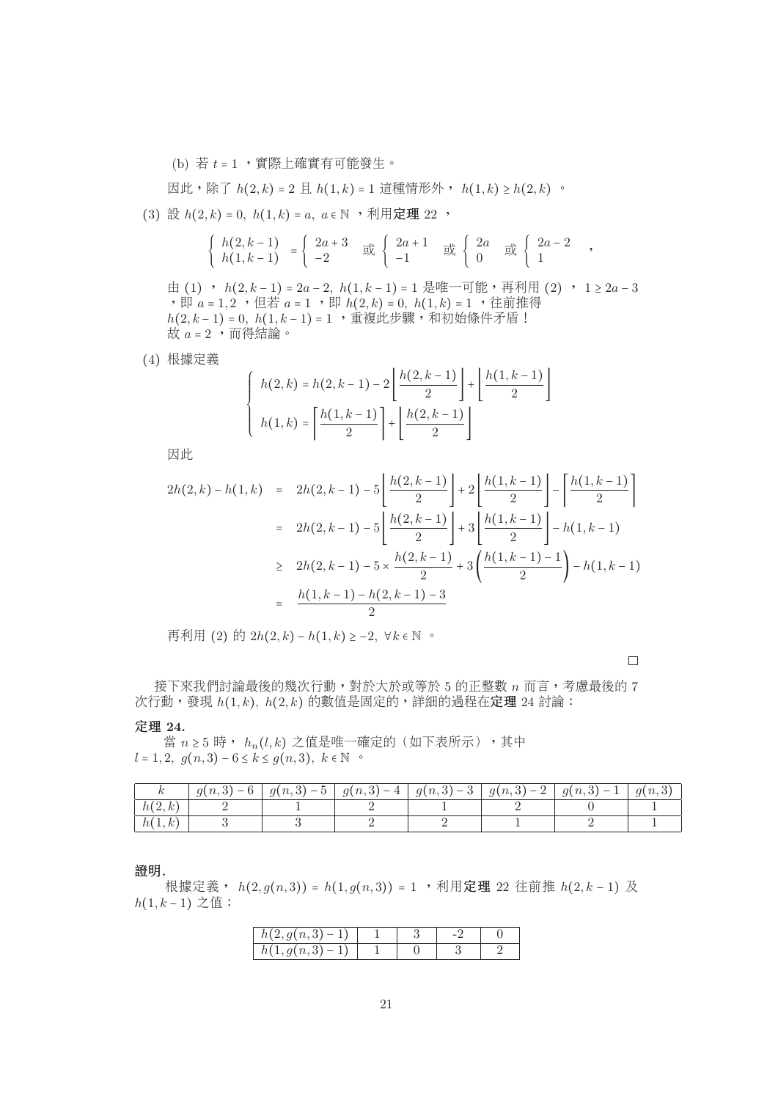(b) 若  $t = 1$ , 實際上確實有可能發生。

因此,除了 $h(2, k) = 2 \text{ H } h(1, k) = 1$ 這種情形外,  $h(1, k) \geq h(2, k)$ 。

(3) 設  $h(2, k) = 0$ ,  $h(1, k) = a$ ,  $a \in \mathbb{N}$ , 利用定理 22,

$$
\begin{cases}\nh(2,k-1) \\
h(1,k-1)\n\end{cases} =\n\begin{cases}\n2a+3 \\
-2\n\end{cases} \n\begin{cases}\n2a+1 \\
-1\n\end{cases} \n\begin{cases}\n2a \\
0\n\end{cases} \n\begin{cases}\n2a \\
0\n\end{cases} \n\begin{cases}\n2a-2 \\
1\n\end{cases},
$$

由 (1) ,  $h(2, k-1) = 2a-2$ ,  $h(1, k-1) = 1$  是唯一可能, 再利用 (2) ,  $1 \geq 2a-3$ , 即  $a = 1, 2$  , 但若  $a = 1$  , 即  $h(2, k) = 0$ ,  $h(1, k) = 1$  , 往前推得  $h(2, k-1) = 0, h(1, k-1) = 1$ , 重複此步驟, 和初始條件矛盾! 故  $a = 2$ , 而得結論。

(4) <sup>根</sup>據定<sup>義</sup>

$$
\begin{cases} h(2,k) = h(2,k-1) - 2\left\lfloor \frac{h(2,k-1)}{2} \right\rfloor + \left\lfloor \frac{h(1,k-1)}{2} \right\rfloor \\ h(1,k) = \left\lceil \frac{h(1,k-1)}{2} \right\rceil + \left\lfloor \frac{h(2,k-1)}{2} \right\rfloor \end{cases}
$$

因此

$$
2h(2,k) - h(1,k) = 2h(2,k-1) - 5\left[\frac{h(2,k-1)}{2}\right] + 2\left[\frac{h(1,k-1)}{2}\right] - \left[\frac{h(1,k-1)}{2}\right]
$$

$$
= 2h(2,k-1) - 5\left[\frac{h(2,k-1)}{2}\right] + 3\left[\frac{h(1,k-1)}{2}\right] - h(1,k-1)
$$

$$
\geq 2h(2,k-1) - 5 \times \frac{h(2,k-1)}{2} + 3\left(\frac{h(1,k-1)-1}{2}\right) - h(1,k-1)
$$

$$
= \frac{h(1,k-1) - h(2,k-1) - 3}{2}
$$

再利用 (2) 的 2 $h(2, k) - h(1, k) \ge -2$ ,  $\forall k \in \mathbb{N}$  。

 $\Box$ 

<sup>接</sup>下來我們討論最後的幾次行動,對於大於或等<sup>於</sup> 5 <sup>的</sup>正整數 n <sup>而</sup>言,考慮最後<sup>的</sup> 7  $\mathcal{K}$ 行動,發現  $h(1, k)$ ,  $h(2, k)$  的數值是固定的,詳細的過程在定理 24 討論:

## 定理 **24.**

當  $n \geq 5$  時,  $h_n(l,k)$  之值是唯一確定的(如下表所示),其中  $l = 1, 2, g(n, 3) - 6 \le k \le g(n, 3), k \in \mathbb{N}$  °

| h(2,k)<br>h(1,k) | $g(n,3)-6$ | $ g(n,3)-5 $ | $ g(n,3)-4 $ | $ g(n,3)-3 g(n,3)-2 $ | $\mid g(n,3)-1 \mid$ | q(n,3) |
|------------------|------------|--------------|--------------|-----------------------|----------------------|--------|
|                  |            |              |              |                       |                      |        |
|                  |            |              |              |                       |                      |        |

證明*.*

根據定義,  $h(2, g(n, 3)) = h(1, g(n, 3)) = 1$ , 利用定理 22 往前推  $h(2, k-1)$ 及  $h(1, k - 1)$  之值:

| $h(2, g(n, 3)-1)$ |  |  |
|-------------------|--|--|
| $h(1,g(n,3)-1)$   |  |  |
|                   |  |  |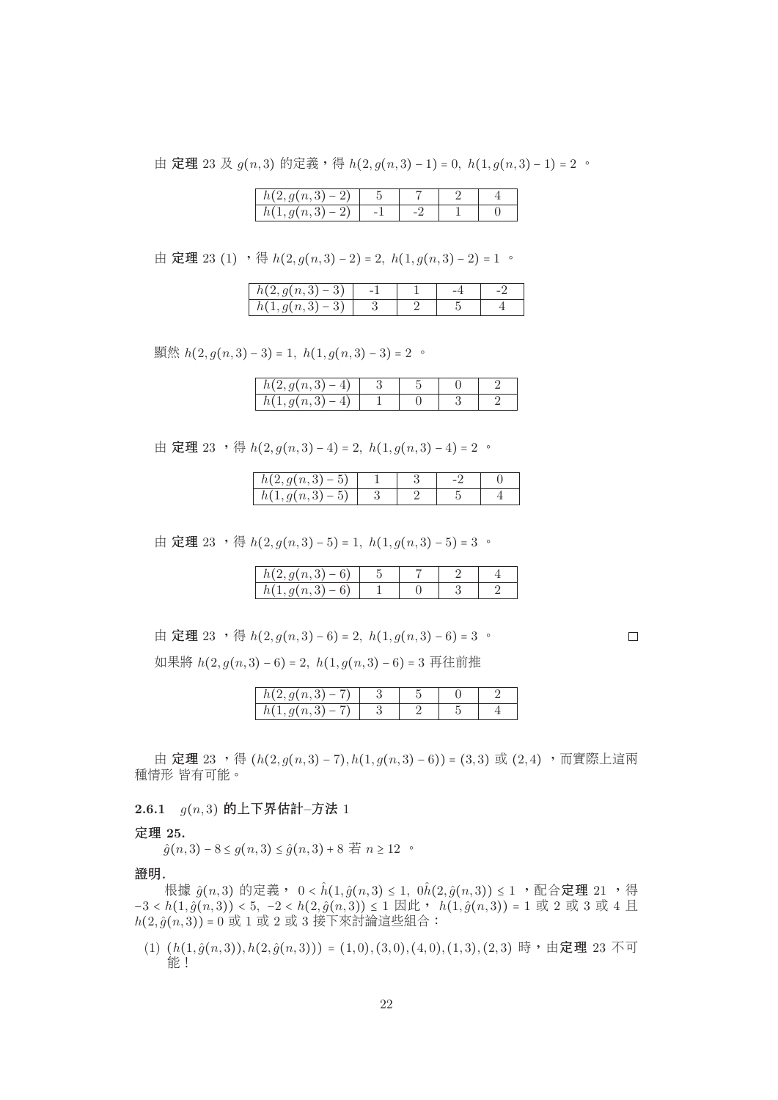由 定理 23 及  $g(n, 3)$  的定義, 得  $h(2, g(n, 3) - 1) = 0$ ,  $h(1, g(n, 3) - 1) = 2$  。

| $h(2, g(n, 3) - 2)$ |  |  |
|---------------------|--|--|
| $, g(n,3) - 2)$     |  |  |
|                     |  |  |

由 定理 23 (1) , 得  $h(2, g(n, 3) - 2) = 2$ ,  $h(1, g(n, 3) - 2) = 1$  。

| $(2, g(n, 3) - 3)$<br>h(z) |  |  |
|----------------------------|--|--|
| h(1)<br>$a(n,3)-3$         |  |  |
|                            |  |  |

顯然  $h(2, g(n, 3) - 3) = 1$ ,  $h(1, g(n, 3) - 3) = 2$  。

| h(1)<br>$5(1, g(n, \, \cdot \,$ |  |
|---------------------------------|--|

由 定理 23 , 得  $h(2, g(n, 3) - 4) = 2$ ,  $h(1, g(n, 3) - 4) = 2$  。

| $\lceil (2, g(n, 3) - 5) \rceil$ |  |  |
|----------------------------------|--|--|
| $g(n,3)-5$                       |  |  |

由 定理 23 , 得  $h(2, g(n, 3) - 5) = 1$ ,  $h(1, g(n, 3) - 5) = 3$  。

| $n(2, g(n, 3) - 6)$                                |  |
|----------------------------------------------------|--|
| $1, g(n, 3) - 1$<br>U.<br>$\overline{\phantom{a}}$ |  |

$$
\text{#} \ \mathbf{\mathcal{E}} \mathbf{\mathcal{H}} \; 23 \quad \text{#} \ \ h(2, g(n, 3) - 6) = 2, \ h(1, g(n, 3) - 6) = 3 \ \text{#}
$$

<sup>如</sup>果<sup>將</sup> h(2, g(n, 3) − 6) = 2, h(1, g(n, 3) − 6) = 3 <sup>再</sup>往前<sup>推</sup>

| $h(2, g(n, 3) - 7)$ |  |  |
|---------------------|--|--|
| $h(1, g(n, 3) - 7)$ |  |  |
|                     |  |  |

由 定理 23, 特 (h(2, g(n, 3) − 7), h(1, g(n, 3) − 6)) = (3, 3) 或 (2, 4), 而實際上這兩 種情形 皆有可能。

**2.6.1** g(n, 3) <sup>的</sup>上下界估計**–**方<sup>法</sup> 1

#### 定理 **25.**

 $\hat{g}(n, 3) - 8 \le g(n, 3) \le \hat{g}(n, 3) + 8$  若  $n \ge 12$  。

證明*.*

根據  $\hat{g}(n,3)$  的定義, 0 <  $\hat{h}(1,\hat{g}(n,3) \leq 1, 0\hat{h}(2,\hat{g}(n,3)) \leq 1$ ,配合定理 21 ,得  $-3 < h(1, \hat{g}(n, 3)) < 5, -2 < h(2, \hat{g}(n, 3)) ≤ 1 \boxtimes \mathcal{W}$ ,  $h(1, \hat{g}(n, 3)) = 1 \text{ W } 2 \text{ W } 3 \text{ W } 4 \text{ H}.$  $h(2,\hat{g}(n,3)) = 0$  或 1 或 2 或 3 接下來討論這些組合:

(1)  $(h(1, \hat{g}(n, 3)), h(2, \hat{g}(n, 3))) = (1, 0), (3, 0), (4, 0), (1, 3), (2, 3)$  時,由定理 23 不可 能!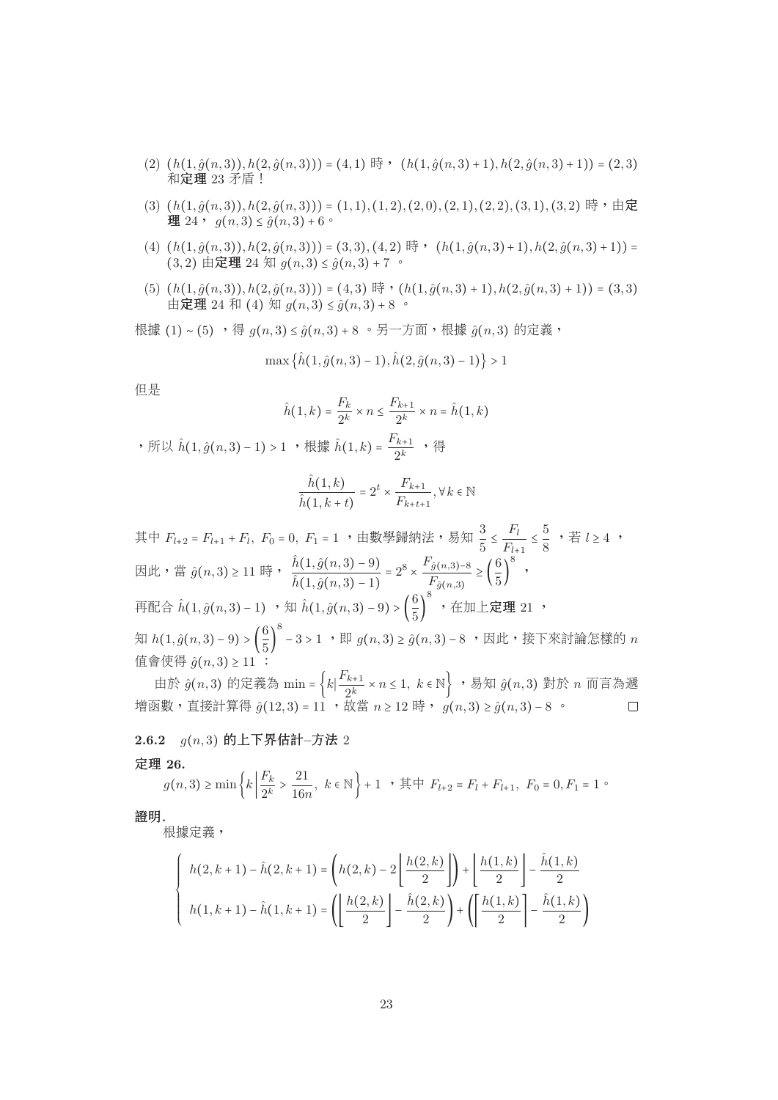- $(2)$   $(h(1, \hat{g}(n, 3)), h(2, \hat{g}(n, 3))) = (4, 1)$  時,  $(h(1, \hat{g}(n, 3) + 1), h(2, \hat{g}(n, 3) + 1)) = (2, 3)$ <sup>和</sup>定<sup>理</sup> 23 <sup>矛</sup>盾!
- (3)  $(h(1, \hat{g}(n, 3)), h(2, \hat{g}(n, 3))) = (1, 1), (1, 2), (2, 0), (2, 1), (2, 2), (3, 1), (3, 2)$  時,由定 理 24,  $g(n, 3) \leq \hat{g}(n, 3) + 6$ 。
- (4)  $(h(1, \hat{g}(n, 3)), h(2, \hat{g}(n, 3))) = (3, 3), (4, 2)$  時,  $(h(1, \hat{g}(n, 3) + 1), h(2, \hat{g}(n, 3) + 1)) =$  $(3, 2)$  由定理 24 知  $g(n, 3) \le \hat{g}(n, 3) + 7$  。
- $(5)$   $(h(1, \hat{q}(n, 3)), h(2, \hat{q}(n, 3))) = (4, 3)$  時,  $(h(1, \hat{q}(n, 3) + 1), h(2, \hat{q}(n, 3) + 1)) = (3, 3)$ 由定理 24 和 (4) 知  $g(n, 3) \le \hat{g}(n, 3) + 8$ 。

根據 (1)∼(5), 得  $g(n, 3)$  ≤  $\hat{g}(n, 3)$  + 8 。另一方面, 根據  $\hat{g}(n, 3)$  的定義,

$$
\max\{\hat{h}(1,\hat{g}(n,3)-1),\hat{h}(2,\hat{g}(n,3)-1)\}>1
$$

但是

$$
\hat{h}(1,k) = \frac{F_k}{2^k} \times n \le \frac{F_{k+1}}{2^k} \times n = \hat{h}(1,k)
$$

, 所以  $\hat{h}(1,\hat{g}(n,3)-1) > 1$  , 根據  $\hat{h}(1,k) = \frac{F_{k+1}}{2^k}$  , 得

$$
\frac{\hat{h}(1,k)}{\hat{h}(1,k+t)} = 2^t \times \frac{F_{k+1}}{F_{k+t+1}}, \forall k \in \mathbb{N}
$$

其中  $F_{l+2} = F_{l+1} + F_l$ ,  $F_0 = 0$ ,  $F_1 = 1$  , 由數學歸納法, 易知  $\frac{3}{5} \leq \frac{F_l}{F_{l+1}} \leq \frac{3}{8}$  , 若  $l \geq 4$  ,  $\hat{h}(1, \hat{a}(n, 3) = 9)$  $\frac{1}{5} \leq \frac{1}{F_{l+1}}$  $\text{E}$ 此,當  $\hat{g}(n, 3) ≥ 11$  時,  $\frac{h(1, g(n, 3) - 9)}{\hat{h}(1, \hat{g}(n, 3) - 1)}$  $h(1, g(n, 3) - 1)$  $= 2^8 \times \frac{F_{\hat{g}(n,3)-8}}{F_{\hat{g}(n,3)}}$  $≥$  ( $\frac{1}{5}$ 5  $\Big)$ , 再配合  $\hat{h}(1, \hat{g}(n, 3) - 1)$  ,知  $\hat{h}(1, \hat{g}(n, 3) - 9) > (\frac{6}{5})$  ,在加上定理 21 , 5 知 h(1, $\hat{g}(n,3)$  − 9) >  $\left(\frac{6}{5}\right)^5$  − 3 > 1 ,即  $g(n,3)$  ≥  $\hat{g}(n,3)$  − 8 ,因此,接下來討論怎樣的 n 值會使得  $\hat{g}(n, 3) ≥ 11$ :

由於  $\hat{g}(n,3)$  的定義為 min =  $\left\{k \middle| \frac{\Gamma k + 1}{2^k} \times n \leq 1, \ k \in \mathbb{N} \right\}$  ,易知  $\hat{g}(n,3)$  對於 n 而言為遞<br>k動,直接計算得  $\hat{g}(12,3) = 11$  ,故當 n > 12 時 ,  $g(n,3) > \hat{g}(n,3) - 8$  。 □ 増函數,直接計算得  $\hat{g}(12,3) = 11$ ,故當  $n \ge 12$  時,  $g(n,3) \ge \hat{g}(n,3) - 8$ 。

**2.6.2** g(n, 3) <sup>的</sup>上下界估計**–**方<sup>法</sup> 2

定理 **26.**

$$
g(n,3) \ge \min\left\{k \mid \frac{F_k}{2^k} > \frac{21}{16n}, \ k \in \mathbb{N}\right\} + 1 \quad , \ \n\sharp \n\uplus F_{l+2} = F_l + F_{l+1}, \ F_0 = 0, F_1 = 1 \ \text{``}
$$

證明*.*

根據定義,

$$
\begin{cases} h(2, k+1) - \hat{h}(2, k+1) = \left( h(2, k) - 2 \left\lfloor \frac{h(2, k)}{2} \right\rfloor \right) + \left\lfloor \frac{h(1, k)}{2} \right\rfloor - \frac{\hat{h}(1, k)}{2} \\ h(1, k+1) - \hat{h}(1, k+1) = \left( \left\lfloor \frac{h(2, k)}{2} \right\rfloor - \frac{\hat{h}(2, k)}{2} \right) + \left( \left\lceil \frac{h(1, k)}{2} \right\rceil - \frac{\hat{h}(1, k)}{2} \right) \end{cases}
$$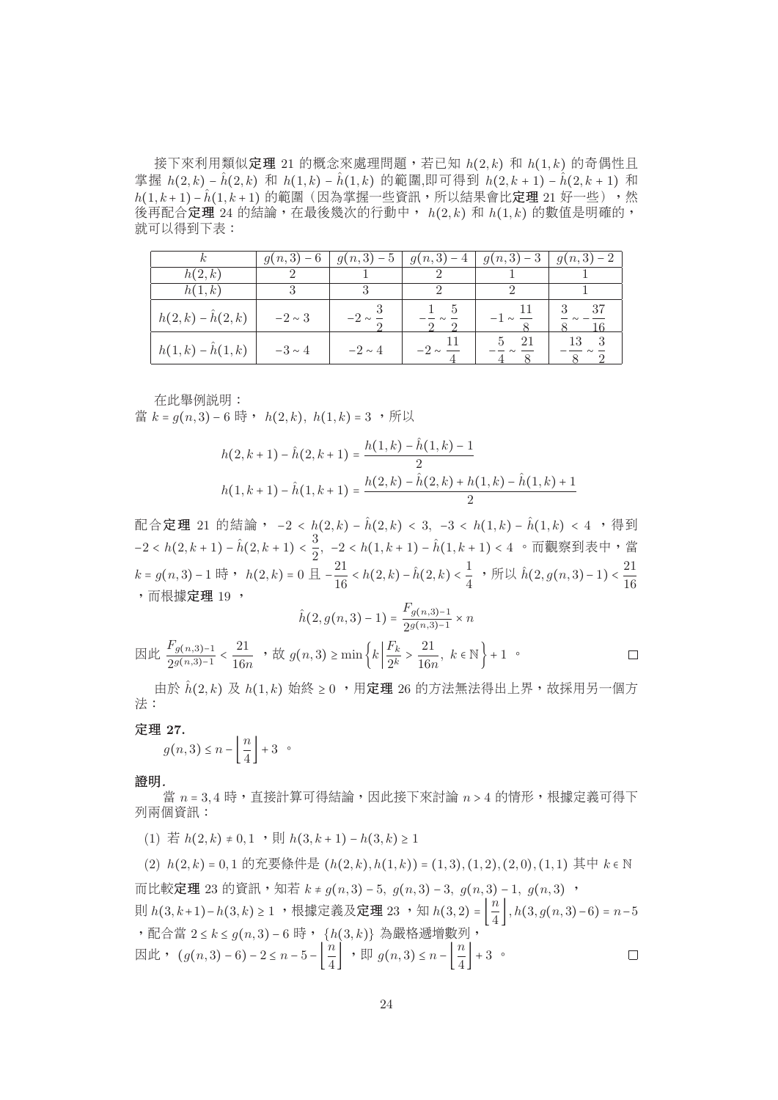接下來利用類似定理 21 的概念來處理問題,若已知  $h(2, k)$  和  $h(1, k)$  的奇偶性且 掌握  $h(2, k) - \hat{h}(2, k)$  和  $h(1, k) - \hat{h}(1, k)$  的範圍,即可得到  $h(2, k + 1) - \hat{h}(2, k + 1)$  和  $h(1, k+1) - \hat{h}(1, k+1)$ 的範圍(因為掌握一些資訊,所以結果會比定理 21 好一些),然 後再配合定理 24 的結論,在最後幾次的行動中,  $h(2, k)$  和  $h(1, k)$  的數值是明確的, 就可以得到下表:

| $\kappa$                | $g(n,3) - 6$ | $g(n,3) - 5$ |               | $g(n,3)-4   g(n,3)-3   g(n,3)-2$ |      |
|-------------------------|--------------|--------------|---------------|----------------------------------|------|
| h(2,k)                  |              |              |               |                                  |      |
| h(1,k)                  |              | 3            | $\mathcal{D}$ |                                  |      |
| $h(2,k) - \hat{h}(2,k)$ | $-2 \sim 3$  | $-2 \sim -$  |               |                                  | - 37 |
| $h(1,k) - \hat{h}(1,k)$ | $-3 \sim 4$  | $-2 \sim 4$  | $-2 \sim -$   | -21                              |      |
|                         |              |              |               |                                  |      |

在此舉例說明:

當  $k = g(n, 3) - 6$  時,  $h(2, k)$ ,  $h(1, k) = 3$ , 所以

$$
h(2, k+1) - \hat{h}(2, k+1) = \frac{h(1, k) - \hat{h}(1, k) - 1}{2}
$$

$$
h(1, k+1) - \hat{h}(1, k+1) = \frac{h(2, k) - \hat{h}(2, k) + h(1, k) - \hat{h}(1, k) + 1}{2}
$$

配合定理 21 的結論,  $-2 < h(2, k) - \hat{h}(2, k) < 3$ ,  $-3 < h(1, k) - \hat{h}(1, k) < 4$ , 得到 配合定理 21 的結論, −2 < h(2, k) − ĥ(2, k) < 3, −3 < h(1, k) − ĥ(1, k) < 4 , 得到 −2 < h(2, k + 1) − ĥ(2, k + 1) <  $\frac{3}{2}$ , −2 < h(1, k + 1) − ĥ(1, k + 1) < 4 。而觀察到表中,當  $k = g(n,3) - 1$  時, h(2, k) = 0 且 − $\frac{21}{16}$  < h(2, k) − ĥ(2, k) <  $\frac{1}{4}$  ,所以 ĥ(2, g(n, 3) − 1) <  $\frac{21}{16}$ <br>,而根據定理 19 , 16 , 而根據**定理** 19 ,  $F(z)$ 

$$
\hat{h}(2, g(n,3) - 1) = \frac{F_g(n,3) - 1}{2g(n,3) - 1} \times n
$$
  

$$
\text{Eik} \quad \frac{F_{g(n,3) - 1}}{2g(n,3) - 1} < \frac{21}{16n}, \quad \text{Ex } g(n,3) \ge \min\left\{k \left|\frac{F_k}{2^k} > \frac{21}{16n}, \ k \in \mathbb{N}\right.\right\} + 1 \quad \text{or}
$$

由於  $\hat{h}(2, k)$  及  $h(1, k)$  始終  $\geq 0$ , 用定理 26 的方法無法得出上界,故採用另一個方 法:

定理 **27.**

$$
g(n,3) \le n - \left\lfloor \frac{n}{4} \right\rfloor + 3 \quad \circ
$$

**Contract** 

證明*.*

當  $n = 3, 4$ 時,直接計算可得結論,因此接下來討論  $n > 4$  的情形,根據定義可得下 列兩個資訊:

(1) 若  $h(2, k) \neq 0, 1$ , 則  $h(3, k+1) - h(3, k) > 1$ 

(2)  $h(2, k) = 0, 1$  的充要條件是  $(h(2, k), h(1, k)) = (1, 3), (1, 2), (2, 0), (1, 1)$  其中  $k \in \mathbb{N}$ 而比較**定理** 23 的資訊,知若  $k ≠ g(n, 3) - 5$ ,  $g(n, 3) - 3$ ,  $g(n, 3) - 1$ ,  $g(n, 3)$ , 則 h(3, k+1)−h(3, k) ≥ 1 ,根據定義及定理 23 ,知 h(3, 2) =  $\left\lfloor \frac{n}{4} \right\rfloor$ , h(3, g(n, 3)−6) = n−5 , 配合當  $2 \le k \le g(n, 3) - 6$  時,  $\{h(3, k)\}$  為嚴格遞增數列,  $\Box$ 因此,  $(g(n,3)-6)-2 \leq n-5-\left\lfloor \frac{n}{4} \right\rfloor$ , 即  $g(n,3) \leq n-\left\lfloor \frac{n}{4} \right\rfloor +3$ .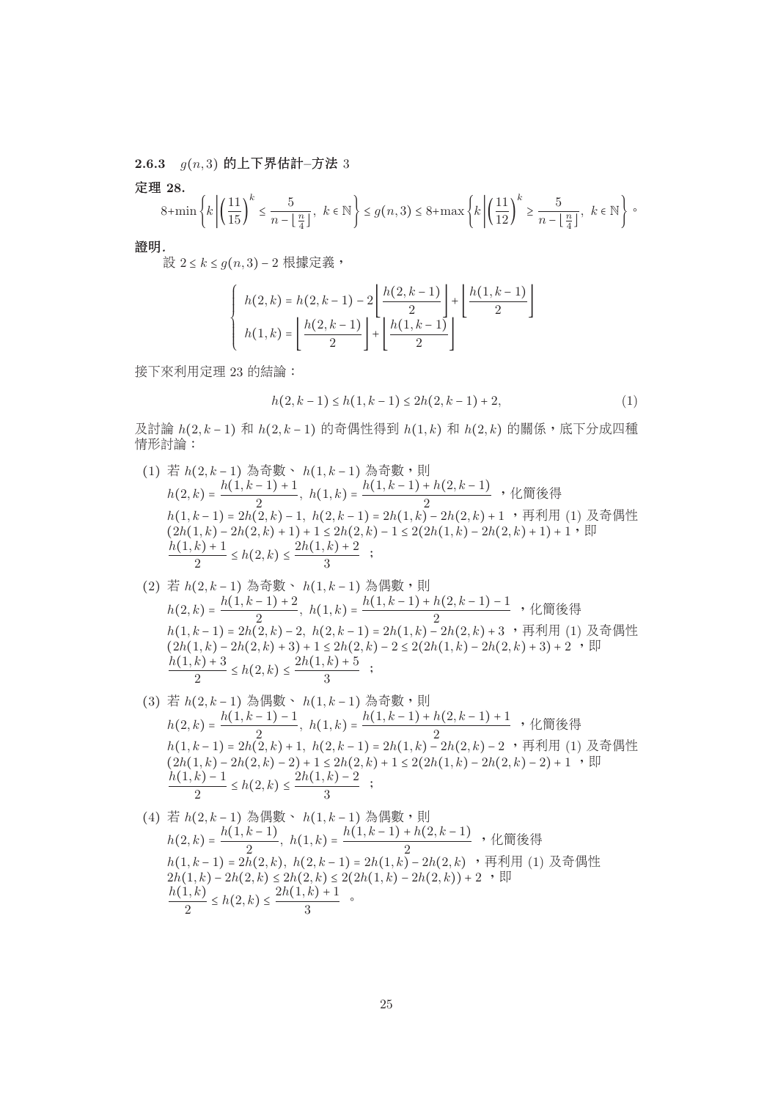**2.6.3** g(n, 3) <sup>的</sup>上下界估計**–**方<sup>法</sup> 3

定理 **28.**

$$
8+\min\left\{k\left|\left(\frac{11}{15}\right)^k\leq \frac{5}{n-\lfloor\frac{n}{4}\rfloor}, k\in\mathbb{N}\right\}\leq g(n,3)\leq 8+\max\left\{k\left|\left(\frac{11}{12}\right)^k\geq \frac{5}{n-\lfloor\frac{n}{4}\rfloor}, k\in\mathbb{N}\right\}\right\}.
$$

證明*.*

設  $2 \leq k \leq g(n, 3) - 2$ 根據定義,

$$
\begin{cases} h(2,k) = h(2,k-1) - 2\left\lfloor \frac{h(2,k-1)}{2} \right\rfloor + \left\lfloor \frac{h(1,k-1)}{2} \right\rfloor \\ h(1,k) = \left\lfloor \frac{h(2,k-1)}{2} \right\rfloor + \left\lfloor \frac{h(1,k-1)}{2} \right\rfloor \end{cases}
$$

<sup>接</sup>下來利用定<sup>理</sup> 23 <sup>的</sup>結論:

$$
h(2, k-1) \le h(1, k-1) \le 2h(2, k-1) + 2,\tag{1}
$$

 $\mathcal{R}$ 討論 h(2, k − 1) 和 h(2, k − 1) 的奇偶性得到 h(1, k) 和 h(2, k) 的關係, 底下分成四種 情形討論:

- (1) 若  $h(2, k-1)$  為奇數、  $h(1, k-1)$  為奇數,則<br>  $h(1, k-1) + 1$  $h(2, k) = \frac{h(1, k-1)+1}{2}, h(1, k) = \frac{h(1, k-1)+h(2, k-1)}{2}$ , 化簡後得<br>  $h(1, k-1) = 2h(2, k) - 1, h(2, k-1) = 2h(1, k) - 2h(2, k) + 1$ , 再利用 h(1,k-1) = 2h(2,k) − 1, h(2,k-1) = 2h(1,k) − 2h(2,k) + 1 ,再利用 (1) 及奇偶性<br>(2h(1 k) − 2h(2 k) + 1) + 1 < 2h(2 k) − 1 < 2(2h(1 k) − 2h(2 k) + 1) + 1, 即  $(2h(1,k) - 2h(2,k) + 1) + 1 \le 2h(2,k) - 1 \le 2(2h(1,k) - 2h(2,k) + 1) + 1,$  $\frac{h(1, k) + 1}{2} \le h(2, k) \le \frac{2h(1, k) + 2}{3}$ ; 3
- (2) 若  $h(2, k-1)$  為奇數、  $h(1, k-1)$  為偶數,則<br>  $h(1, k-1) + 2$  $h(2,k) = \frac{h(1,k-1)+2}{2}$ ,  $h(1,k) = \frac{h(1,k-1)+h(2,k-1)-1}{2}$ , 化簡後得<br>  $h(1,k-1) = 2h(2,k) - 2$ ,  $h(2,k-1) = 2h(1,k) - 2h(2,k) + 3$ , 再利用 (1) h(1,k-1) = 2h(2,k) − 2, h(2,k-1) = 2h(1,k) − 2h(2,k) + 3 , 再利用 (1) 及奇偶性<br>(2h(1 k) − 2h(2 k) + 3) + 1 < 2h(2 k) − 2 < 2(2h(1 k) − 2h(2 k) + 3) + 2, 、即  $(2h(1,k) - 2h(2,k) + 3) + 1 \le 2h(2,k) - 2 \le 2(2h(1,k) - 2h(2,k) + 3) + 2$ , 即  $\frac{h(1, k) + 3}{2} \le h(2, k) \le \frac{2h(1, k) + 5}{3}$ ;
- 3 (3) 若  $h(2, k-1)$  為偶數、  $h(1, k-1)$  為奇數,則<br>  $h(1, k-1) - 1$  $h(2,k) = \frac{h(1,k-1)-1}{2}, h(1,k) = \frac{h(1,k-1)+h(2,k-1)+1}{2},$ ,化簡後得<br>  $h(1,k-1) = 2h(2,k)+1, h(2,k-1) = 2h(1,k)-2h(2,k)-2,$ ,再利用 (1) h(1,k-1) = 2h(2,k) + 1, h(2,k-1) = 2h(1,k) − 2h(2,k) − 2 , 再利用 (1) 及奇偶性<br>(2h(1 k) − 2h(2 k) − 2) + 1 < 2h(2 k) + 1 < 2(2h(1 k) − 2h(2 k) − 2) + 1, 、即  $(2h(1,k) - 2h(2,k) - 2) + 1 \leq 2h(2,k) + 1 \leq 2(2h(1,k) - 2h(2,k) - 2) + 1$ , 即  $\frac{h(1, k) - 1}{2} \le h(2, k) \le \frac{2h(1, k) - 2}{3}$ ;

(4) 紮 
$$
h(2, k-1)
$$
 游個數  $\cdot$   $h(1, k-1)$  炯個數  $\cdot$  剬1\n $h(2, k) = \frac{h(1, k-1)}{2}, h(1, k) = \frac{h(1, k-1) + h(2, k-1)}{2}, \text{ H}$  ④: (1, k-1) = 2h(2, k), h(2, k-1) = 2h(1, k) - 2h(2, k) \cdot \overline{H}利用 (1) 及奇個性\n $2h(1, k) - 2h(2, k) \leq 2h(2, k) \leq 2(2h(1, k) - 2h(2, k)) + 2 \cdot \overline{H}$ \n $\frac{h(1, k)}{2} \leq h(2, k) \leq \frac{2h(1, k) + 1}{3}$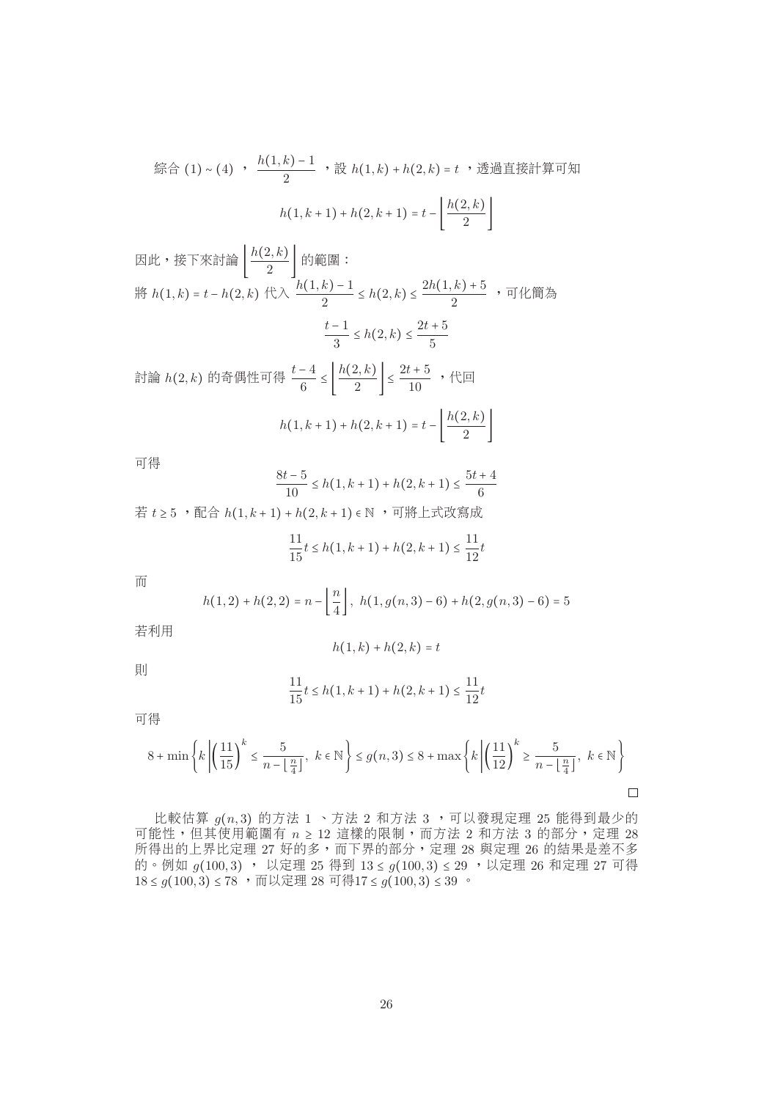$$
\hat{m} \triangleq (1) \sim (4) \quad \frac{h(1,k) - 1}{2} \quad \text{# } h(1,k) + h(2,k) = t \quad \text{# } \hat{m} \triangleq \frac{h(1,k+1) + h(2,k+1)}{2} = t - \left[ \frac{h(2,k)}{2} \right]
$$

因此,接下來計論 
$$
\left[ \frac{h(2,k)}{2} \right]
$$
的範国 :  
\n將  $h(1,k) = t - h(2,k)$ 代入  $\frac{h(1,k) - 1}{2} \le h(2,k) \le \frac{2h(1,k) + 5}{2}$ , 可化質為  
\n $\frac{t-1}{3} \le h(2,k) \le \frac{2t+5}{5}$   
\n計論  $h(2,k)$ 的奇個性可得  $\frac{t-4}{6} \le \left[ \frac{h(2,k)}{2} \right] \le \frac{2t+5}{10}$ , 代回

$$
h(1, k+1) + h(2, k+1) = t - \left\lfloor \frac{h(2, k)}{2} \right\rfloor
$$

可得

$$
\frac{8t-5}{10} \le h(1, k+1) + h(2, k+1) \le \frac{5t+4}{6}
$$
  
vd# t≥5, v m<sup>2</sup> m<sup>2</sup> h(1, k+1) + h(2, k+1) ∈ N, v

$$
\frac{11}{15}t \le h(1, k+1) + h(2, k+1) \le \frac{11}{12}t
$$

而

$$
h(1,2) + h(2,2) = n - \left\lfloor \frac{n}{4} \right\rfloor, \ h(1,g(n,3) - 6) + h(2,g(n,3) - 6) = 5
$$

 $h(1, k) + h(2, k) = t$ 

若利用

則

$$
\frac{11}{15}t \le h(1, k+1) + h(2, k+1) \le \frac{11}{12}t
$$

可得

$$
8 + \min\left\{k \left| \left(\frac{11}{15}\right)^k \leq \frac{5}{n - \left\lfloor \frac{n}{4} \right\rfloor}, \ k \in \mathbb{N} \right\} \leq g(n, 3) \leq 8 + \max\left\{k \left| \left(\frac{11}{12}\right)^k \geq \frac{5}{n - \left\lfloor \frac{n}{4} \right\rfloor}, \ k \in \mathbb{N} \right\} \right\}
$$

比較估算  $g(n, 3)$  的方法  $1 \cdot$  方法  $2 \pi$ 方法  $3 \cdot \pi$  可以發現定理  $25$  能得到最少的 可能性,但其使用範圍有  $n \geq 12$ 這樣的限制,而方法 2 和方法 3 的部分,定理 28 所得出的上界比定理 27 好的多,而下界的部分,定理 28 與定理 26 的結果是差不多<br>的。例加 a(100 3) , 以完理 95 得到 13 < a(100 3) < 90 ,以完理 96 和完理 97 可得 的。例如 g(100,3) , 以定理 25 得到 13 ≤ g(100,3) ≤ 29 ,以定理 26 和定理 27 可得<br>18 ≤ g(100,3) ≤ 78 ,而以完理 28 可得17 ≤ g(100,3) ≤ 30 。  $18 ≤ g(100, 3) ≤ 78$ , 而以定理 28 可得17 ≤  $g(100, 3) ≤ 39$ .